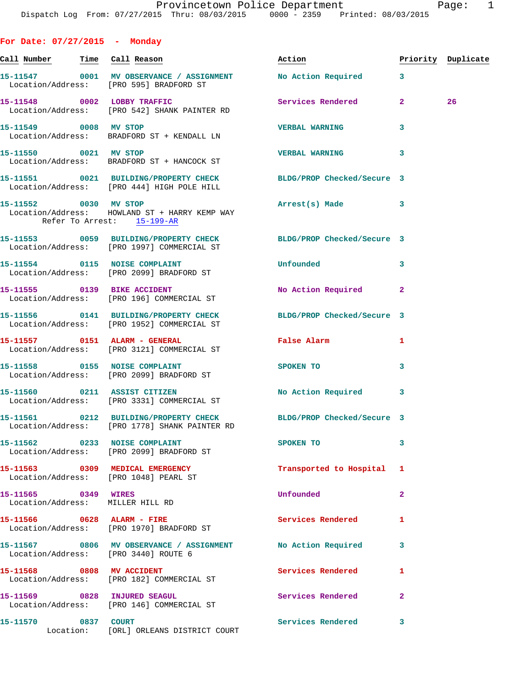**For Date: 07/27/2015 - Monday**

| <u>Call Number — Time Call Reason</u>                                                                |  |                                          | Action                                                           |                | Priority Duplicate |
|------------------------------------------------------------------------------------------------------|--|------------------------------------------|------------------------------------------------------------------|----------------|--------------------|
| Location/Address: [PRO 595] BRADFORD ST                                                              |  | 15-11547 0001 MV OBSERVANCE / ASSIGNMENT | <b>No Action Required</b>                                        | $\mathbf{3}$   |                    |
| 15-11548 0002 LOBBY TRAFFIC<br>Location/Address: [PRO 542] SHANK PAINTER RD                          |  |                                          | Services Rendered                                                | $2^{\circ}$    | 26                 |
| 15-11549 0008 MV STOP<br>Location/Address: BRADFORD ST + KENDALL LN                                  |  |                                          | <b>VERBAL WARNING</b>                                            | 3              |                    |
| 15-11550 0021 MV STOP<br>Location/Address: BRADFORD ST + HANCOCK ST                                  |  |                                          | <b>VERBAL WARNING</b>                                            | 3              |                    |
| Location/Address: [PRO 444] HIGH POLE HILL                                                           |  |                                          | 15-11551 0021 BUILDING/PROPERTY CHECK BLDG/PROP Checked/Secure 3 |                |                    |
| 15-11552 0030 MV STOP<br>Location/Address: HOWLAND ST + HARRY KEMP WAY<br>Refer To Arrest: 15-199-AR |  |                                          | Arrest(s) Made 3                                                 |                |                    |
| Location/Address: [PRO 1997] COMMERCIAL ST                                                           |  |                                          | 15-11553 0059 BUILDING/PROPERTY CHECK BLDG/PROP Checked/Secure 3 |                |                    |
| 15-11554 0115 NOISE COMPLAINT<br>Location/Address: [PRO 2099] BRADFORD ST                            |  |                                          | Unfounded                                                        | 3              |                    |
| 15-11555 0139 BIKE ACCIDENT<br>Location/Address: [PRO 196] COMMERCIAL ST                             |  |                                          | No Action Required                                               | $\mathbf{2}$   |                    |
| Location/Address: [PRO 1952] COMMERCIAL ST                                                           |  |                                          | 15-11556 0141 BUILDING/PROPERTY CHECK BLDG/PROP Checked/Secure 3 |                |                    |
| 15-11557 0151 ALARM - GENERAL<br>Location/Address: [PRO 3121] COMMERCIAL ST                          |  |                                          | False Alarm                                                      | 1              |                    |
| 15-11558 0155 NOISE COMPLAINT<br>Location/Address: [PRO 2099] BRADFORD ST                            |  |                                          | SPOKEN TO                                                        | 3              |                    |
| 15-11560 0211 ASSIST CITIZEN<br>Location/Address: [PRO 3331] COMMERCIAL ST                           |  |                                          | No Action Required 3                                             |                |                    |
| Location/Address: [PRO 1778] SHANK PAINTER RD                                                        |  |                                          | 15-11561 0212 BUILDING/PROPERTY CHECK BLDG/PROP Checked/Secure 3 |                |                    |
| 15-11562 0233 NOISE COMPLAINT<br>Location/Address: [PRO 2099] BRADFORD ST                            |  |                                          | SPOKEN TO                                                        | 3              |                    |
| 15-11563 0309 MEDICAL EMERGENCY<br>Location/Address: [PRO 1048] PEARL ST                             |  |                                          | Transported to Hospital                                          | 1              |                    |
| 15-11565 0349 WIRES<br>Location/Address: MILLER HILL RD                                              |  |                                          | Unfounded                                                        | $\overline{a}$ |                    |
| 15-11566 0628 ALARM - FIRE<br>Location/Address: [PRO 1970] BRADFORD ST                               |  |                                          | <b>Services Rendered</b>                                         | 1              |                    |
| Location/Address: [PRO 3440] ROUTE 6                                                                 |  |                                          | 15-11567 0806 MV OBSERVANCE / ASSIGNMENT No Action Required      | 3              |                    |
| 15-11568 0808 MV ACCIDENT<br>Location/Address: [PRO 182] COMMERCIAL ST                               |  |                                          | Services Rendered                                                | 1              |                    |
| 15-11569 0828 INJURED SEAGUL<br>Location/Address: [PRO 146] COMMERCIAL ST                            |  |                                          | Services Rendered                                                | $\overline{2}$ |                    |
| 15-11570 0837 COURT                                                                                  |  | Location: [ORL] ORLEANS DISTRICT COURT   | Services Rendered                                                | 3              |                    |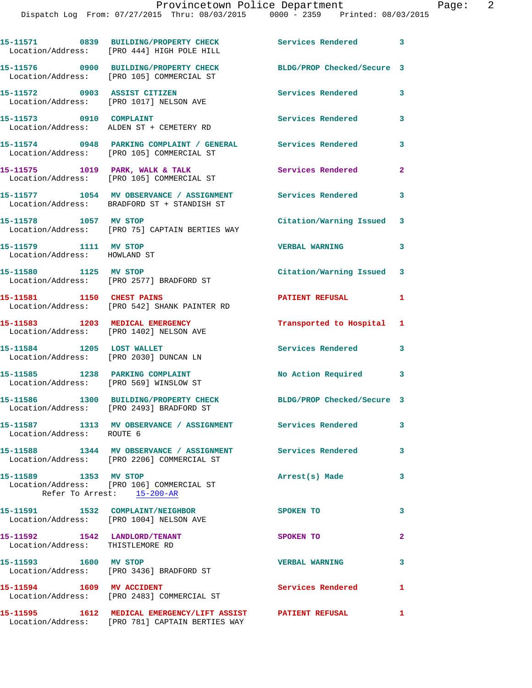|                                                                             | 15-11571 0839 BUILDING/PROPERTY CHECK<br>Location/Address: [PRO 444] HIGH POLE HILL                       | Services Rendered 3        |                |
|-----------------------------------------------------------------------------|-----------------------------------------------------------------------------------------------------------|----------------------------|----------------|
|                                                                             | 15-11576 0900 BUILDING/PROPERTY CHECK<br>Location/Address: [PRO 105] COMMERCIAL ST                        | BLDG/PROP Checked/Secure 3 |                |
| 15-11572 0903 ASSIST CITIZEN                                                | Location/Address: [PRO 1017] NELSON AVE                                                                   | Services Rendered          | 3              |
| 15-11573 0910 COMPLAINT                                                     | Location/Address: ALDEN ST + CEMETERY RD                                                                  | Services Rendered          | 3              |
|                                                                             | 15-11574 0948 PARKING COMPLAINT / GENERAL Services Rendered<br>Location/Address: [PRO 105] COMMERCIAL ST  |                            | 3              |
|                                                                             | 15-11575 1019 PARK, WALK & TALK<br>Location/Address: [PRO 105] COMMERCIAL ST                              | Services Rendered          | $\overline{2}$ |
|                                                                             | 15-11577 1054 MV OBSERVANCE / ASSIGNMENT Services Rendered<br>Location/Address: BRADFORD ST + STANDISH ST |                            | 3              |
| 15-11578 1057 MV STOP                                                       | Location/Address: [PRO 75] CAPTAIN BERTIES WAY                                                            | Citation/Warning Issued 3  |                |
| 15-11579 1111 MV STOP<br>Location/Address: HOWLAND ST                       |                                                                                                           | <b>VERBAL WARNING</b>      | 3              |
| 15-11580 1125 MV STOP                                                       | Location/Address: [PRO 2577] BRADFORD ST                                                                  | Citation/Warning Issued 3  |                |
| 15-11581 1150 CHEST PAINS                                                   | Location/Address: [PRO 542] SHANK PAINTER RD                                                              | <b>PATIENT REFUSAL</b>     | 1              |
| 15-11583 1203 MEDICAL EMERGENCY<br>Location/Address: [PRO 1402] NELSON AVE  |                                                                                                           | Transported to Hospital 1  |                |
| 15-11584 1205 LOST WALLET<br>Location/Address: [PRO 2030] DUNCAN LN         |                                                                                                           | Services Rendered          | 3              |
| 15-11585 1238 PARKING COMPLAINT<br>Location/Address: [PRO 569] WINSLOW ST   |                                                                                                           | No Action Required 3       |                |
|                                                                             | 15-11586 1300 BUILDING/PROPERTY CHECK<br>Location/Address: [PRO 2493] BRADFORD ST                         | BLDG/PROP Checked/Secure 3 |                |
| Location/Address: ROUTE 6                                                   | 15-11587 1313 MV OBSERVANCE / ASSIGNMENT Services Rendered                                                |                            | 3              |
|                                                                             | 15-11588 1344 MV OBSERVANCE / ASSIGNMENT Services Rendered<br>Location/Address: [PRO 2206] COMMERCIAL ST  |                            | 3              |
|                                                                             | Location/Address: [PRO 106] COMMERCIAL ST<br>Refer To Arrest: 15-200-AR                                   | Arrest(s) Made             | 3              |
| 15-11591 1532 COMPLAINT/NEIGHBOR<br>Location/Address: [PRO 1004] NELSON AVE |                                                                                                           | SPOKEN TO                  | 3              |
| 15-11592 1542 LANDLORD/TENANT<br>Location/Address: THISTLEMORE RD           |                                                                                                           | SPOKEN TO                  | $\mathbf{2}$   |
| 15-11593 1600 MV STOP                                                       | Location/Address: [PRO 3436] BRADFORD ST                                                                  | <b>VERBAL WARNING</b>      | 3              |
| 15-11594 1609 MV ACCIDENT                                                   | Location/Address: [PRO 2483] COMMERCIAL ST                                                                | Services Rendered          | $\mathbf{1}$   |
|                                                                             |                                                                                                           |                            | $\mathbf{1}$   |

Location/Address: [PRO 781] CAPTAIN BERTIES WAY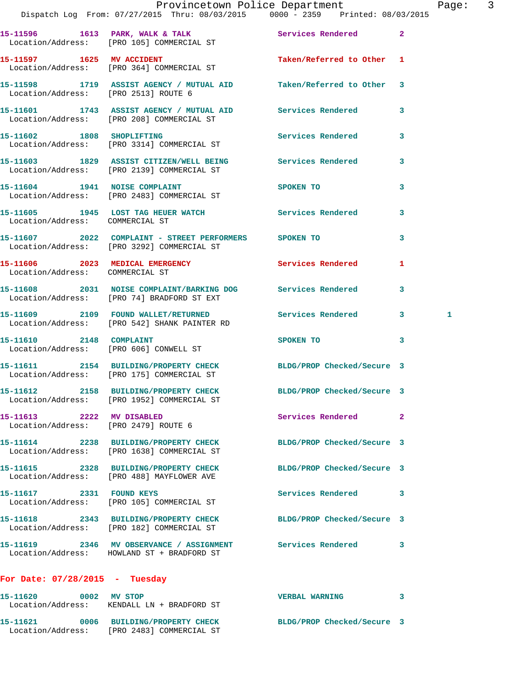|                                                                   | Dispatch Log From: 07/27/2015 Thru: 08/03/2015 0000 - 2359 Printed: 08/03/2015                                | Provincetown Police Department Page: 3 |              |
|-------------------------------------------------------------------|---------------------------------------------------------------------------------------------------------------|----------------------------------------|--------------|
|                                                                   |                                                                                                               |                                        |              |
|                                                                   | 15-11596 1613 PARK, WALK & TALK 1999 Services Rendered 2<br>Location/Address: [PRO 105] COMMERCIAL ST         |                                        |              |
|                                                                   | 15-11597 1625 MV ACCIDENT<br>Location/Address: [PRO 364] COMMERCIAL ST                                        | Taken/Referred to Other 1              |              |
|                                                                   | 15-11598 1719 ASSIST AGENCY / MUTUAL AID Taken/Referred to Other 3<br>Location/Address: [PRO 2513] ROUTE 6    |                                        |              |
|                                                                   | 15-11601 1743 ASSIST AGENCY / MUTUAL AID Services Rendered 3<br>Location/Address: [PRO 208] COMMERCIAL ST     |                                        |              |
|                                                                   | 15-11602 1808 SHOPLIFTING<br>Location/Address: [PRO 3314] COMMERCIAL ST                                       | Services Rendered 3                    |              |
|                                                                   | 15-11603 1829 ASSIST CITIZEN/WELL BEING Services Rendered 3<br>Location/Address: [PRO 2139] COMMERCIAL ST     |                                        |              |
|                                                                   | 15-11604 1941 NOISE COMPLAINT<br>Location/Address: [PRO 2483] COMMERCIAL ST                                   | SPOKEN TO NAME OF SPOKEN TO            | $\mathbf{3}$ |
| Location/Address: COMMERCIAL ST                                   | 15-11605 1945 LOST TAG HEUER WATCH Services Rendered                                                          |                                        | $\mathbf{3}$ |
|                                                                   | 15-11607 2022 COMPLAINT - STREET PERFORMERS SPOKEN TO<br>Location/Address: [PRO 3292] COMMERCIAL ST           |                                        | $\mathbf{3}$ |
| Location/Address: COMMERCIAL ST                                   | 15-11606 2023 MEDICAL EMERGENCY Services Rendered                                                             |                                        | $\mathbf{1}$ |
|                                                                   | 15-11608 2031 NOISE COMPLAINT/BARKING DOG Services Rendered 3<br>Location/Address: [PRO 74] BRADFORD ST EXT   |                                        |              |
|                                                                   | 15-11609 2109 FOUND WALLET/RETURNED Services Rendered 3<br>Location/Address: [PRO 542] SHANK PAINTER RD       |                                        | 1            |
|                                                                   | 15-11610 2148 COMPLAINT<br>Location/Address: [PRO 606] CONWELL ST                                             | SPOKEN TO 3                            |              |
|                                                                   | 15-11611 2154 BUILDING/PROPERTY CHECK BLDG/PROP Checked/Secure 3<br>Location/Address: [PRO 175] COMMERCIAL ST |                                        |              |
|                                                                   | 15-11612 2158 BUILDING/PROPERTY CHECK<br>Location/Address: [PRO 1952] COMMERCIAL ST                           | BLDG/PROP Checked/Secure 3             |              |
| 15-11613 2222 MV DISABLED<br>Location/Address: [PRO 2479] ROUTE 6 |                                                                                                               | Services Rendered 2                    |              |
|                                                                   | 15-11614 2238 BUILDING/PROPERTY CHECK<br>Location/Address: [PRO 1638] COMMERCIAL ST                           | BLDG/PROP Checked/Secure 3             |              |
|                                                                   | 15-11615 2328 BUILDING/PROPERTY CHECK BLDG/PROP Checked/Secure 3<br>Location/Address: [PRO 488] MAYFLOWER AVE |                                        |              |
|                                                                   | 15-11617 2331 FOUND KEYS                                                                                      | Services Rendered 3                    |              |
|                                                                   | Location/Address: [PRO 105] COMMERCIAL ST<br>15-11618 2343 BUILDING/PROPERTY CHECK BLDG/PROP Checked/Secure 3 |                                        |              |
|                                                                   | Location/Address: [PRO 182] COMMERCIAL ST<br>15-11619 2346 MV OBSERVANCE / ASSIGNMENT Services Rendered 3     |                                        |              |
|                                                                   | Location/Address: HOWLAND ST + BRADFORD ST                                                                    |                                        |              |
| For Date: $07/28/2015$ - Tuesday                                  |                                                                                                               |                                        |              |
| 15-11620 0002 MV STOP                                             |                                                                                                               | VERBAL WARNING 3                       |              |

 Location/Address: KENDALL LN + BRADFORD ST **15-11621 0006 BUILDING/PROPERTY CHECK BLDG/PROP Checked/Secure 3**  Location/Address: [PRO 2483] COMMERCIAL ST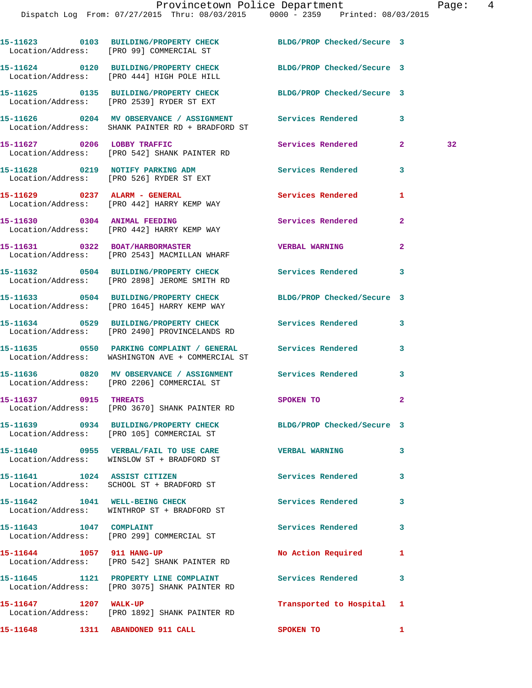|                           | 15-11623 0103 BUILDING/PROPERTY CHECK<br>Location/Address: [PRO 99] COMMERCIAL ST                                          | BLDG/PROP Checked/Secure 3 |                |    |
|---------------------------|----------------------------------------------------------------------------------------------------------------------------|----------------------------|----------------|----|
|                           | 15-11624 0120 BUILDING/PROPERTY CHECK<br>Location/Address: [PRO 444] HIGH POLE HILL                                        | BLDG/PROP Checked/Secure 3 |                |    |
|                           | 15-11625 0135 BUILDING/PROPERTY CHECK BLDG/PROP Checked/Secure 3<br>Location/Address: [PRO 2539] RYDER ST EXT              |                            |                |    |
|                           | 15-11626      0204   MV OBSERVANCE / ASSIGNMENT      Services Rendered<br>Location/Address: SHANK PAINTER RD + BRADFORD ST |                            | 3              |    |
|                           | 15-11627 0206 LOBBY TRAFFIC<br>Location/Address: [PRO 542] SHANK PAINTER RD                                                | Services Rendered          | $\mathbf{2}$   | 32 |
|                           | 15-11628 0219 NOTIFY PARKING ADM<br>Location/Address: [PRO 526] RYDER ST EXT                                               | Services Rendered          | 3              |    |
|                           | 15-11629 0237 ALARM - GENERAL<br>Location/Address: [PRO 442] HARRY KEMP WAY                                                | <b>Services Rendered</b>   | 1              |    |
|                           | 15-11630 0304 ANIMAL FEEDING<br>Location/Address: [PRO 442] HARRY KEMP WAY                                                 | Services Rendered          | $\mathbf{2}$   |    |
|                           | 15-11631 0322 BOAT/HARBORMASTER<br>Location/Address: [PRO 2543] MACMILLAN WHARF                                            | <b>VERBAL WARNING</b>      | $\overline{2}$ |    |
|                           | 15-11632 0504 BUILDING/PROPERTY CHECK Services Rendered 3<br>Location/Address: [PRO 2898] JEROME SMITH RD                  |                            |                |    |
|                           | 15-11633 0504 BUILDING/PROPERTY CHECK BLDG/PROP Checked/Secure 3<br>Location/Address: [PRO 1645] HARRY KEMP WAY            |                            |                |    |
|                           | 15-11634 0529 BUILDING/PROPERTY CHECK Services Rendered<br>Location/Address: [PRO 2490] PROVINCELANDS RD                   |                            | 3              |    |
|                           | Location/Address: WASHINGTON AVE + COMMERCIAL ST                                                                           |                            | 3              |    |
|                           | 15-11636 6820 MV OBSERVANCE / ASSIGNMENT Services Rendered<br>Location/Address: [PRO 2206] COMMERCIAL ST                   |                            | 3              |    |
| 15-11637 0915 THREATS     | Location/Address: [PRO 3670] SHANK PAINTER RD                                                                              | <b>SPOKEN TO</b>           | $\overline{2}$ |    |
|                           | 15-11639 0934 BUILDING/PROPERTY CHECK BLDG/PROP Checked/Secure 3<br>Location/Address: [PRO 105] COMMERCIAL ST              |                            |                |    |
|                           | 15-11640 0955 VERBAL/FAIL TO USE CARE WERBAL WARNING<br>Location/Address: WINSLOW ST + BRADFORD ST                         |                            | 3              |    |
|                           | 15-11641 1024 ASSIST CITIZEN<br>Location/Address: SCHOOL ST + BRADFORD ST                                                  | Services Rendered          | 3              |    |
|                           | 15-11642 1041 WELL-BEING CHECK<br>Location/Address: WINTHROP ST + BRADFORD ST                                              | Services Rendered          | 3              |    |
| 15-11643 1047 COMPLAINT   | Location/Address: [PRO 299] COMMERCIAL ST                                                                                  | Services Rendered          | 3              |    |
| 15-11644 1057 911 HANG-UP | Location/Address: [PRO 542] SHANK PAINTER RD                                                                               | No Action Required         | 1              |    |
|                           | 15-11645 1121 PROPERTY LINE COMPLAINT<br>Location/Address: [PRO 3075] SHANK PAINTER RD                                     | Services Rendered          | 3              |    |
| 15-11647 1207 WALK-UP     | Location/Address: [PRO 1892] SHANK PAINTER RD                                                                              | Transported to Hospital 1  |                |    |
|                           | 15-11648 1311 ABANDONED 911 CALL                                                                                           | <b>SPOKEN TO</b>           | 1              |    |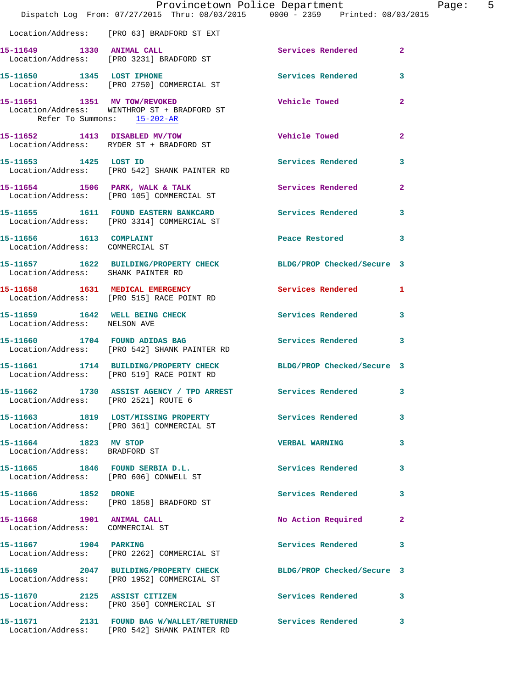|                                                              | Provincetown Police Department<br>Dispatch Log From: 07/27/2015 Thru: 08/03/2015 0000 - 2359 Printed: 08/03/2015 |                             | Page: 5        |  |
|--------------------------------------------------------------|------------------------------------------------------------------------------------------------------------------|-----------------------------|----------------|--|
|                                                              | Location/Address: [PRO 63] BRADFORD ST EXT                                                                       |                             |                |  |
|                                                              | 15-11649 1330 ANIMAL CALL<br>Location/Address: [PRO 3231] BRADFORD ST                                            | Services Rendered 2         |                |  |
|                                                              | 15-11650 1345 LOST IPHONE 2008 Services Rendered 3<br>Location/Address: [PRO 2750] COMMERCIAL ST                 |                             |                |  |
| Refer To Summons: 15-202-AR                                  | 15-11651   1351   MV TOW/REVOKED<br>Location/Address: WINTHROP ST + BRADFORD ST                                  | Vehicle Towed <b>Search</b> | $\overline{2}$ |  |
|                                                              | 15-11652 1413 DISABLED MV/TOW<br>Location/Address: RYDER ST + BRADFORD ST                                        | Vehicle Towed               | $\mathbf{2}$   |  |
| 15-11653 1425 LOST ID                                        | Location/Address: [PRO 542] SHANK PAINTER RD                                                                     | Services Rendered 3         |                |  |
|                                                              | 15-11654 1506 PARK, WALK & TALK Services Rendered 2<br>Location/Address: [PRO 105] COMMERCIAL ST                 |                             |                |  |
|                                                              | 15-11655   1611   FOUND EASTERN BANKCARD   Services Rendered   3<br>Location/Address: [PRO 3314] COMMERCIAL ST   |                             |                |  |
| 15-11656 1613 COMPLAINT<br>Location/Address: COMMERCIAL ST   |                                                                                                                  | Peace Restored 3            |                |  |
| Location/Address: SHANK PAINTER RD                           | 15-11657 1622 BUILDING/PROPERTY CHECK BLDG/PROP Checked/Secure 3                                                 |                             |                |  |
|                                                              | 15-11658 1631 MEDICAL EMERGENCY<br>Location/Address: [PRO 515] RACE POINT RD                                     | Services Rendered 1         |                |  |
| Location/Address: NELSON AVE                                 | 15-11659 1642 WELL BEING CHECK                                                                                   | Services Rendered 3         |                |  |
|                                                              | 15-11660 1704 FOUND ADIDAS BAG Services Rendered 3<br>Location/Address: [PRO 542] SHANK PAINTER RD               |                             |                |  |
|                                                              | 15-11661 1714 BUILDING/PROPERTY CHECK BLDG/PROP Checked/Secure 3<br>Location/Address: [PRO 519] RACE POINT RD    |                             |                |  |
| Location/Address: [PRO 2521] ROUTE 6                         | 15-11662 1730 ASSIST AGENCY / TPD ARREST                                                                         | Services Rendered           | 3              |  |
|                                                              | 15-11663 1819 LOST/MISSING PROPERTY Services Rendered 3<br>Location/Address: [PRO 361] COMMERCIAL ST             |                             |                |  |
| 15-11664 1823 MV STOP<br>Location/Address: BRADFORD ST       |                                                                                                                  | <b>VERBAL WARNING</b>       | 3              |  |
|                                                              | 15-11665 1846 FOUND SERBIA D.L.<br>Location/Address: [PRO 606] CONWELL ST                                        | Services Rendered 3         |                |  |
|                                                              | 15-11666 1852 DRONE<br>  Location/Address: [PRO 1858] BRADFORD ST                                                | Services Rendered           | $\mathbf{3}$   |  |
| 15-11668 1901 ANIMAL CALL<br>Location/Address: COMMERCIAL ST |                                                                                                                  | No Action Required          | $\mathbf{2}$   |  |
| 15-11667    1904    PARKING                                  | Location/Address: [PRO 2262] COMMERCIAL ST                                                                       | Services Rendered           | $\mathbf{3}$   |  |
|                                                              | 15-11669 2047 BUILDING/PROPERTY CHECK BLDG/PROP Checked/Secure 3<br>Location/Address: [PRO 1952] COMMERCIAL ST   |                             |                |  |
|                                                              | 15-11670 2125 ASSIST CITIZEN<br>Location/Address: [PRO 350] COMMERCIAL ST                                        | Services Rendered 3         |                |  |
|                                                              | 15-11671 2131 FOUND BAG W/WALLET/RETURNED Services Rendered<br>Location/Address: [PRO 542] SHANK PAINTER RD      |                             | $\mathbf{3}$   |  |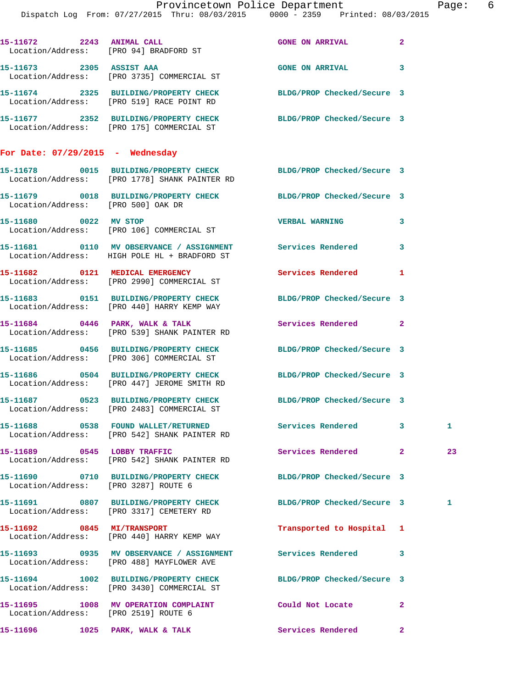|                                      | Dispatch Log From: 07/27/2015 Thru: 08/03/2015 0000 - 2359 Printed: 08/03/2015                                    | Provincetown Police Department Page: 6 |              |              |  |
|--------------------------------------|-------------------------------------------------------------------------------------------------------------------|----------------------------------------|--------------|--------------|--|
|                                      |                                                                                                                   |                                        |              |              |  |
|                                      | 15-11672 2243 ANIMAL CALL<br>Location/Address: [PRO 94] BRADFORD ST                                               | <b>GONE ON ARRIVAL</b>                 | $\mathbf{2}$ |              |  |
|                                      | 15-11673 2305 ASSIST AAA 600 GONE ON ARRIVAL<br>Location/Address: [PRO 3735] COMMERCIAL ST                        |                                        | 3            |              |  |
|                                      | 15-11674 2325 BUILDING/PROPERTY CHECK<br>Location/Address: [PRO 519] RACE POINT RD                                | BLDG/PROP Checked/Secure 3             |              |              |  |
|                                      | 15-11677 2352 BUILDING/PROPERTY CHECK BLDG/PROP Checked/Secure 3<br>Location/Address: [PRO 175] COMMERCIAL ST     |                                        |              |              |  |
| For Date: $07/29/2015$ - Wednesday   |                                                                                                                   |                                        |              |              |  |
|                                      | 15-11678 0015 BUILDING/PROPERTY CHECK BLDG/PROP Checked/Secure 3<br>Location/Address: [PRO 1778] SHANK PAINTER RD |                                        |              |              |  |
| Location/Address: [PRO 500] OAK DR   | 15-11679 0018 BUILDING/PROPERTY CHECK BLDG/PROP Checked/Secure 3                                                  |                                        |              |              |  |
|                                      | 15-11680 0022 MV STOP<br>Location/Address: [PRO 106] COMMERCIAL ST                                                | <b>VERBAL WARNING</b>                  | 3            |              |  |
|                                      | Location/Address: HIGH POLE HL + BRADFORD ST                                                                      |                                        |              |              |  |
|                                      | 15-11682 0121 MEDICAL EMERGENCY<br>Location/Address: [PRO 2990] COMMERCIAL ST                                     | Services Rendered 1                    |              |              |  |
|                                      | 15-11683 0151 BUILDING/PROPERTY CHECK BLDG/PROP Checked/Secure 3<br>Location/Address: [PRO 440] HARRY KEMP WAY    |                                        |              |              |  |
|                                      | 15-11684 0446 PARK, WALK & TALK<br>Location/Address: [PRO 539] SHANK PAINTER RD                                   | <b>Services Rendered</b> 2             |              |              |  |
|                                      | 15-11685 0456 BUILDING/PROPERTY CHECK BLDG/PROP Checked/Secure 3<br>Location/Address: [PRO 306] COMMERCIAL ST     |                                        |              |              |  |
|                                      | 15-11686 0504 BUILDING/PROPERTY CHECK BLDG/PROP Checked/Secure 3<br>Location/Address: [PRO 447] JEROME SMITH RD   |                                        |              |              |  |
|                                      | 15-11687 0523 BUILDING/PROPERTY CHECK BLDG/PROP Checked/Secure 3<br>Location/Address: [PRO 2483] COMMERCIAL ST    |                                        |              |              |  |
|                                      | 15-11688 0538 FOUND WALLET/RETURNED Services Rendered 3<br>Location/Address: [PRO 542] SHANK PAINTER RD           |                                        |              | $\mathbf{1}$ |  |
|                                      | 15-11689 0545 LOBBY TRAFFIC<br>Location/Address: [PRO 542] SHANK PAINTER RD                                       | Services Rendered 2                    |              | 23           |  |
| Location/Address: [PRO 3287] ROUTE 6 | 15-11690 0710 BUILDING/PROPERTY CHECK BLDG/PROP Checked/Secure 3                                                  |                                        |              |              |  |
|                                      | 15-11691 0807 BUILDING/PROPERTY CHECK BLDG/PROP Checked/Secure 3<br>Location/Address: [PRO 3317] CEMETERY RD      |                                        |              | 1            |  |
|                                      | 15-11692 0845 MI/TRANSPORT<br>Location/Address: [PRO 440] HARRY KEMP WAY                                          | Transported to Hospital 1              |              |              |  |
|                                      | 15-11693 0935 MV OBSERVANCE / ASSIGNMENT Services Rendered 3<br>Location/Address: [PRO 488] MAYFLOWER AVE         |                                        |              |              |  |
|                                      | 15-11694 1002 BUILDING/PROPERTY CHECK BLDG/PROP Checked/Secure 3<br>Location/Address: [PRO 3430] COMMERCIAL ST    |                                        |              |              |  |
| Location/Address: [PRO 2519] ROUTE 6 | 15-11695 1008 MV OPERATION COMPLAINT                                                                              | Could Not Locate                       | $\mathbf{2}$ |              |  |
| 15-11696 1025 PARK, WALK & TALK      |                                                                                                                   | <b>Services Rendered</b>               | $\mathbf{2}$ |              |  |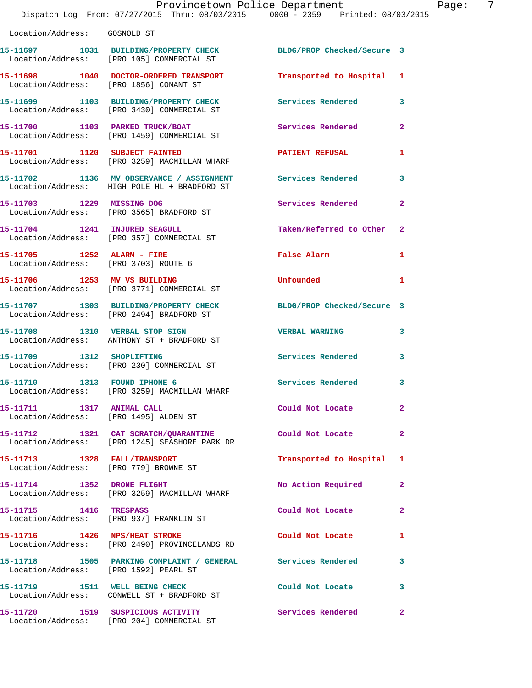|                                                                       | Provincetown Police Department<br>Dispatch Log From: 07/27/2015 Thru: 08/03/2015 0000 - 2359 Printed: 08/03/2015 |                            |                |
|-----------------------------------------------------------------------|------------------------------------------------------------------------------------------------------------------|----------------------------|----------------|
| Location/Address: GOSNOLD ST                                          |                                                                                                                  |                            |                |
|                                                                       | 15-11697 1031 BUILDING/PROPERTY CHECK BLDG/PROP Checked/Secure 3<br>Location/Address: [PRO 105] COMMERCIAL ST    |                            |                |
| Location/Address: [PRO 1856] CONANT ST                                | 15-11698 1040 DOCTOR-ORDERED TRANSPORT                                                                           | Transported to Hospital    | 1              |
|                                                                       | 15-11699 1103 BUILDING/PROPERTY CHECK Services Rendered<br>Location/Address: [PRO 3430] COMMERCIAL ST            |                            | 3              |
|                                                                       | 15-11700 1103 PARKED TRUCK/BOAT<br>Location/Address: [PRO 1459] COMMERCIAL ST                                    | Services Rendered          | $\overline{2}$ |
|                                                                       | 15-11701 1120 SUBJECT FAINTED<br>Location/Address: [PRO 3259] MACMILLAN WHARF                                    | <b>PATIENT REFUSAL</b>     | 1              |
|                                                                       | 15-11702 1136 MV OBSERVANCE / ASSIGNMENT<br>Location/Address: HIGH POLE HL + BRADFORD ST                         | <b>Services Rendered</b>   | 3              |
| 15-11703 1229 MISSING DOG                                             | Location/Address: [PRO 3565] BRADFORD ST                                                                         | Services Rendered          | $\mathbf{2}$   |
|                                                                       | 15-11704 1241 INJURED SEAGULL<br>Location/Address: [PRO 357] COMMERCIAL ST                                       | Taken/Referred to Other    | $\mathbf{2}$   |
| Location/Address: [PRO 3703] ROUTE 6                                  |                                                                                                                  | False Alarm                | 1              |
|                                                                       | 15-11706 1253 MV VS BUILDING<br>Location/Address: [PRO 3771] COMMERCIAL ST                                       | Unfounded                  | 1              |
|                                                                       | 15-11707 1303 BUILDING/PROPERTY CHECK<br>Location/Address: [PRO 2494] BRADFORD ST                                | BLDG/PROP Checked/Secure 3 |                |
|                                                                       | 15-11708 1310 VERBAL STOP SIGN<br>Location/Address: ANTHONY ST + BRADFORD ST                                     | <b>VERBAL WARNING</b>      | 3              |
| 15-11709 1312 SHOPLIFTING                                             | Location/Address: [PRO 230] COMMERCIAL ST                                                                        | <b>Services Rendered</b>   | 3              |
| 15-11710 1313 FOUND IPHONE 6                                          | Location/Address: [PRO 3259] MACMILLAN WHARF                                                                     | Services Rendered          | $\mathbf{3}$   |
| 15-11711 1317 ANIMAL CALL<br>Location/Address: [PRO 1495] ALDEN ST    |                                                                                                                  | Could Not Locate           | $\mathbf{2}$   |
|                                                                       | 15-11712 1321 CAT SCRATCH/QUARANTINE<br>Location/Address: [PRO 1245] SEASHORE PARK DR                            | Could Not Locate           | $\overline{2}$ |
| 15-11713 1328 FALL/TRANSPORT<br>Location/Address: [PRO 779] BROWNE ST |                                                                                                                  | Transported to Hospital    | 1              |
| 15-11714 1352 DRONE FLIGHT                                            | Location/Address: [PRO 3259] MACMILLAN WHARF                                                                     | No Action Required         | $\mathbf{2}$   |
| 15-11715 1416 TRESPASS                                                | Location/Address: [PRO 937] FRANKLIN ST                                                                          | Could Not Locate           | $\mathbf{2}$   |
| 15-11716    1426    NPS/HEAT STROKE                                   | Location/Address: [PRO 2490] PROVINCELANDS RD                                                                    | Could Not Locate           | 1              |
| Location/Address: [PRO 1592] PEARL ST                                 | 15-11718 1505 PARKING COMPLAINT / GENERAL Services Rendered                                                      |                            | 3              |
|                                                                       | 15-11719 1511 WELL BEING CHECK<br>Location/Address: CONWELL ST + BRADFORD ST                                     | Could Not Locate           | 3              |
|                                                                       |                                                                                                                  |                            | $\mathbf{2}$   |

Location/Address: [PRO 204] COMMERCIAL ST

Page: 7<br>5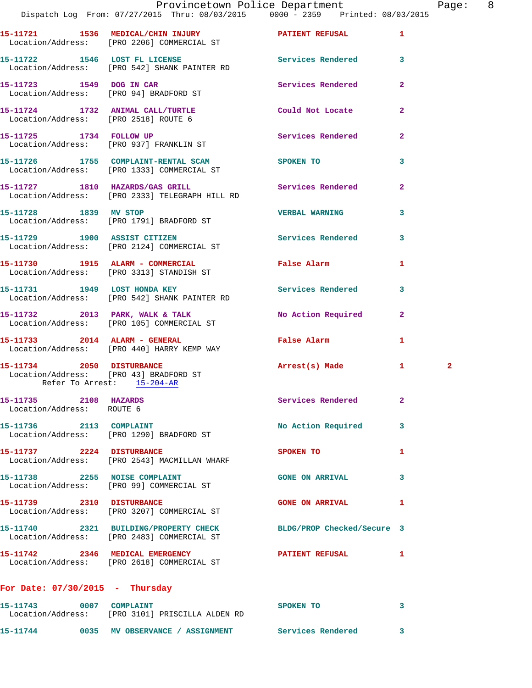|                                                         | Provincetown Police Department<br>Dispatch Log From: 07/27/2015 Thru: 08/03/2015 0000 - 2359 Printed: 08/03/2015 |                            |                | Pag          |
|---------------------------------------------------------|------------------------------------------------------------------------------------------------------------------|----------------------------|----------------|--------------|
|                                                         | 15-11721 1536 MEDICAL/CHIN INJURY PATIENT REFUSAL<br>Location/Address: [PRO 2206] COMMERCIAL ST                  |                            | $\mathbf{1}$   |              |
|                                                         | 15-11722 1546 LOST FL LICENSE<br>Location/Address: [PRO 542] SHANK PAINTER RD                                    | Services Rendered          | 3              |              |
|                                                         | 15-11723 1549 DOG IN CAR<br>Location/Address: [PRO 94] BRADFORD ST                                               | Services Rendered          | $\overline{a}$ |              |
|                                                         | 15-11724 1732 ANIMAL CALL/TURTLE Could Not Locate<br>Location/Address: [PRO 2518] ROUTE 6                        |                            | $\overline{a}$ |              |
|                                                         | 15-11725 1734 FOLLOW UP<br>Location/Address: [PRO 937] FRANKLIN ST                                               | Services Rendered          | $\overline{2}$ |              |
|                                                         | 15-11726 1755 COMPLAINT-RENTAL SCAM SPOKEN TO<br>Location/Address: [PRO 1333] COMMERCIAL ST                      |                            | 3              |              |
|                                                         | 15-11727 1810 HAZARDS/GAS GRILL Services Rendered<br>Location/Address: [PRO 2333] TELEGRAPH HILL RD              |                            | $\overline{a}$ |              |
| 15-11728 1839 MV STOP                                   | Location/Address: [PRO 1791] BRADFORD ST                                                                         | <b>VERBAL WARNING</b>      | 3              |              |
|                                                         | 15-11729 1900 ASSIST CITIZEN<br>Location/Address: [PRO 2124] COMMERCIAL ST                                       | Services Rendered          | 3              |              |
|                                                         | 15-11730 1915 ALARM - COMMERCIAL<br>Location/Address: [PRO 3313] STANDISH ST                                     | False Alarm                | 1              |              |
|                                                         | 15-11731 1949 LOST HONDA KEY<br>Location/Address: [PRO 542] SHANK PAINTER RD                                     | Services Rendered          | 3              |              |
|                                                         | 15-11732 2013 PARK, WALK & TALK NO Action Required<br>Location/Address: [PRO 105] COMMERCIAL ST                  |                            | $\overline{2}$ |              |
|                                                         | 15-11733 2014 ALARM - GENERAL<br>Location/Address: [PRO 440] HARRY KEMP WAY                                      | False Alarm                | 1              |              |
| 15-11734 2050 DISTURBANCE<br>Refer To Arrest: 15-204-AR | Location/Address: [PRO 43] BRADFORD ST                                                                           | Arrest(s) Made             | $\mathbf{1}$   | $\mathbf{2}$ |
| 15-11735 2108 HAZARDS<br>Location/Address: ROUTE 6      |                                                                                                                  | <b>Services Rendered</b>   | 2              |              |
|                                                         | 15-11736 2113 COMPLAINT<br>Location/Address: [PRO 1290] BRADFORD ST                                              | No Action Required         | 3              |              |
| 15-11737 2224 DISTURBANCE                               | Location/Address: [PRO 2543] MACMILLAN WHARF                                                                     | SPOKEN TO                  | 1              |              |
| 15-11738 2255 NOISE COMPLAINT                           | Location/Address: [PRO 99] COMMERCIAL ST                                                                         | <b>GONE ON ARRIVAL</b>     | 3              |              |
|                                                         | 15-11739 2310 DISTURBANCE<br>Location/Address: [PRO 3207] COMMERCIAL ST                                          | <b>GONE ON ARRIVAL</b>     | 1              |              |
|                                                         | 15-11740 2321 BUILDING/PROPERTY CHECK<br>Location/Address: [PRO 2483] COMMERCIAL ST                              | BLDG/PROP Checked/Secure 3 |                |              |
|                                                         | 15-11742 2346 MEDICAL EMERGENCY<br>Location/Address: [PRO 2618] COMMERCIAL ST                                    | PATIENT REFUSAL            | 1              |              |
| For Date: $07/30/2015$ - Thursday                       |                                                                                                                  |                            |                |              |
| 15-11743 0007 COMPLAINT                                 | Location/Address: [PRO 3101] PRISCILLA ALDEN RD                                                                  | SPOKEN TO                  | 3              |              |

**15-11744 0035 MV OBSERVANCE / ASSIGNMENT Services Rendered 3** 

Page: 8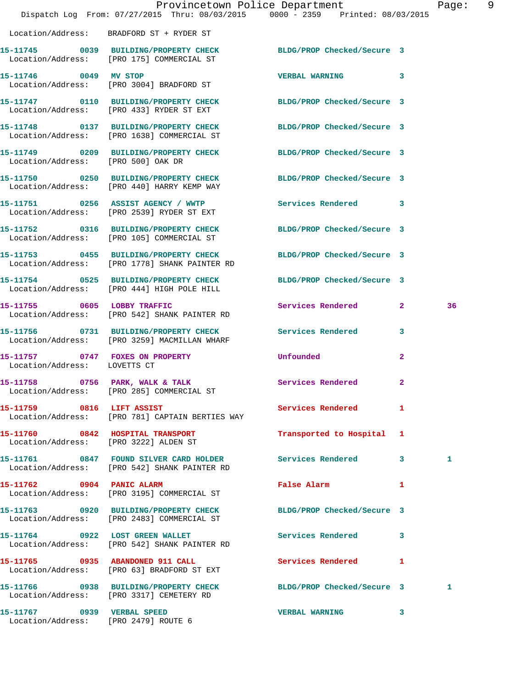|                                    | Dispatch Log From: 07/27/2015 Thru: 08/03/2015 0000 - 2359 Printed: 08/03/2015                                    | Provincetown Police Department |                | Page: | 9 |
|------------------------------------|-------------------------------------------------------------------------------------------------------------------|--------------------------------|----------------|-------|---|
|                                    | Location/Address: BRADFORD ST + RYDER ST                                                                          |                                |                |       |   |
|                                    | 15-11745 0039 BUILDING/PROPERTY CHECK BLDG/PROP Checked/Secure 3<br>Location/Address: [PRO 175] COMMERCIAL ST     |                                |                |       |   |
|                                    | 15-11746 0049 MV STOP<br>Location/Address: [PRO 3004] BRADFORD ST                                                 | VERBAL WARNING 3               |                |       |   |
|                                    | 15-11747 0110 BUILDING/PROPERTY CHECK BLDG/PROP Checked/Secure 3<br>Location/Address: [PRO 433] RYDER ST EXT      |                                |                |       |   |
|                                    | 15-11748 0137 BUILDING/PROPERTY CHECK BLDG/PROP Checked/Secure 3<br>Location/Address: [PRO 1638] COMMERCIAL ST    |                                |                |       |   |
| Location/Address: [PRO 500] OAK DR | 15-11749 0209 BUILDING/PROPERTY CHECK BLDG/PROP Checked/Secure 3                                                  |                                |                |       |   |
|                                    | 15-11750 0250 BUILDING/PROPERTY CHECK BLDG/PROP Checked/Secure 3<br>Location/Address: [PRO 440] HARRY KEMP WAY    |                                |                |       |   |
|                                    | 15-11751 0256 ASSIST AGENCY / WWTP<br>Location/Address: [PRO 2539] RYDER ST EXT                                   | Services Rendered 3            |                |       |   |
|                                    | 15-11752 0316 BUILDING/PROPERTY CHECK BLDG/PROP Checked/Secure 3<br>Location/Address: [PRO 105] COMMERCIAL ST     |                                |                |       |   |
|                                    | 15-11753 0455 BUILDING/PROPERTY CHECK BLDG/PROP Checked/Secure 3<br>Location/Address: [PRO 1778] SHANK PAINTER RD |                                |                |       |   |
|                                    | 15-11754 0525 BUILDING/PROPERTY CHECK BLDG/PROP Checked/Secure 3<br>Location/Address: [PRO 444] HIGH POLE HILL    |                                |                |       |   |
|                                    | 15-11755 0605 LOBBY TRAFFIC<br>Location/Address: [PRO 542] SHANK PAINTER RD                                       | Services Rendered 2            |                | 36    |   |
|                                    | 15-11756 0731 BUILDING/PROPERTY CHECK<br>Location/Address: [PRO 3259] MACMILLAN WHARF                             | Services Rendered 3            |                |       |   |
| Location/Address: LOVETTS CT       | 15-11757 0747 FOXES ON PROPERTY                                                                                   | Unfounded                      | $\overline{2}$ |       |   |
|                                    | 15-11758 0756 PARK, WALK & TALK 3 Services Rendered 2<br>Location/Address: [PRO 285] COMMERCIAL ST                |                                |                |       |   |
|                                    | 15-11759 0816 LIFT ASSIST<br>Location/Address: [PRO 781] CAPTAIN BERTIES WAY                                      | Services Rendered              | 1              |       |   |
|                                    | 15-11760 0842 HOSPITAL TRANSPORT<br>Location/Address: [PRO 3222] ALDEN ST                                         | Transported to Hospital 1      |                |       |   |
|                                    | 15-11761 0847 FOUND SILVER CARD HOLDER Services Rendered 3<br>Location/Address: [PRO 542] SHANK PAINTER RD        |                                |                | 1     |   |
| 15-11762 0904 PANIC ALARM          | Location/Address: [PRO 3195] COMMERCIAL ST                                                                        | False Alarm 1                  |                |       |   |
|                                    | 15-11763 0920 BUILDING/PROPERTY CHECK BLDG/PROP Checked/Secure 3<br>Location/Address: [PRO 2483] COMMERCIAL ST    |                                |                |       |   |
|                                    | 15-11764 0922 LOST GREEN WALLET<br>Location/Address: [PRO 542] SHANK PAINTER RD                                   | Services Rendered 3            |                |       |   |
|                                    | 15-11765 0935 ABANDONED 911 CALL<br>Location/Address: [PRO 63] BRADFORD ST EXT                                    | Services Rendered              | 1              |       |   |
|                                    | 15-11766 0938 BUILDING/PROPERTY CHECK BLDG/PROP Checked/Secure 3<br>Location/Address: [PRO 3317] CEMETERY RD      |                                |                | 1     |   |
| 15-11767 0939 VERBAL SPEED         |                                                                                                                   | VERBAL WARNING 3               |                |       |   |

Location/Address: [PRO 2479] ROUTE 6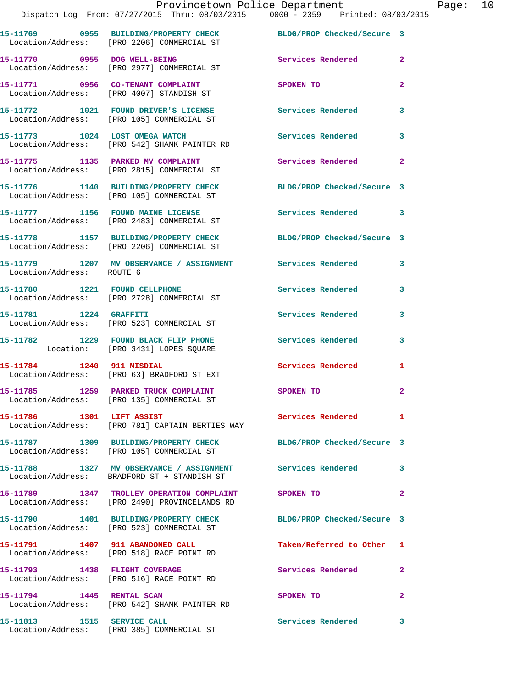|                                  | 15-11769 0955 BUILDING/PROPERTY CHECK<br>Location/Address: [PRO 2206] COMMERCIAL ST                           | BLDG/PROP Checked/Secure 3           |                |
|----------------------------------|---------------------------------------------------------------------------------------------------------------|--------------------------------------|----------------|
|                                  | 15-11770 0955 DOG WELL-BEING<br>Location/Address: [PRO 2977] COMMERCIAL ST                                    | Services Rendered                    | $\overline{2}$ |
|                                  | 15-11771 0956 CO-TENANT COMPLAINT<br>Location/Address: [PRO 4007] STANDISH ST                                 | <b>SPOKEN TO</b>                     | $\mathbf{2}$   |
|                                  | 15-11772 1021 FOUND DRIVER'S LICENSE<br>Location/Address: [PRO 105] COMMERCIAL ST                             | <b>Services Rendered</b>             | 3              |
|                                  | 15-11773 1024 LOST OMEGA WATCH<br>Location/Address: [PRO 542] SHANK PAINTER RD                                | <b>Services Rendered</b><br>$\sim$ 3 |                |
|                                  | 15-11775 1135 PARKED MV COMPLAINT<br>Location/Address: [PRO 2815] COMMERCIAL ST                               | Services Rendered 2                  |                |
|                                  | 15-11776 1140 BUILDING/PROPERTY CHECK<br>Location/Address: [PRO 105] COMMERCIAL ST                            | BLDG/PROP Checked/Secure 3           |                |
|                                  | 15-11777 1156 FOUND MAINE LICENSE<br>Location/Address: [PRO 2483] COMMERCIAL ST                               | Services Rendered 3                  |                |
|                                  | 15-11778 1157 BUILDING/PROPERTY CHECK<br>Location/Address: [PRO 2206] COMMERCIAL ST                           | BLDG/PROP Checked/Secure 3           |                |
| Location/Address: ROUTE 6        | 15-11779 1207 MV OBSERVANCE / ASSIGNMENT Services Rendered                                                    |                                      | 3              |
| 15-11780 1221 FOUND CELLPHONE    | Location/Address: [PRO 2728] COMMERCIAL ST                                                                    | Services Rendered                    | 3              |
| 15-11781 1224 GRAFFITI           | Location/Address: [PRO 523] COMMERCIAL ST                                                                     | Services Rendered                    | 3              |
|                                  | 15-11782 1229 FOUND BLACK FLIP PHONE<br>Location: [PRO 3431] LOPES SQUARE                                     | <b>Services Rendered</b>             | 3              |
|                                  | 15-11784 1240 911 MISDIAL<br>Location/Address: [PRO 63] BRADFORD ST EXT                                       | <b>Services Rendered</b> 1           |                |
|                                  | 15-11785 1259 PARKED TRUCK COMPLAINT<br>Location/Address: [PRO 135] COMMERCIAL ST                             | SPOKEN TO                            | $\mathbf{2}$   |
| 15-11786 1301 LIFT ASSIST        | Location/Address: [PRO 781] CAPTAIN BERTIES WAY                                                               | Services Rendered                    | $\mathbf{1}$   |
|                                  | 15-11787 1309 BUILDING/PROPERTY CHECK BLDG/PROP Checked/Secure 3<br>Location/Address: [PRO 105] COMMERCIAL ST |                                      |                |
|                                  | 15-11788 1327 MV OBSERVANCE / ASSIGNMENT Services Rendered<br>Location/Address: BRADFORD ST + STANDISH ST     |                                      | 3              |
|                                  | 15-11789 1347 TROLLEY OPERATION COMPLAINT SPOKEN TO<br>Location/Address: [PRO 2490] PROVINCELANDS RD          |                                      | $\mathbf{2}$   |
|                                  | 15-11790   1401 BUILDING/PROPERTY CHECK<br>Location/Address: [PRO 523] COMMERCIAL ST                          | BLDG/PROP Checked/Secure 3           |                |
|                                  | 15-11791 1407 911 ABANDONED CALL<br>Location/Address: [PRO 518] RACE POINT RD                                 | Taken/Referred to Other 1            |                |
|                                  | 15-11793 1438 FLIGHT COVERAGE<br>Location/Address: [PRO 516] RACE POINT RD                                    | Services Rendered                    | $\mathbf{2}$   |
| 15-11794 1445 RENTAL SCAM        | Location/Address: [PRO 542] SHANK PAINTER RD                                                                  | SPOKEN TO                            | $\mathbf{2}$   |
| 15-11813    1515    SERVICE CALL | Location/Address: [PRO 385] COMMERCIAL ST                                                                     | Services Rendered 3                  |                |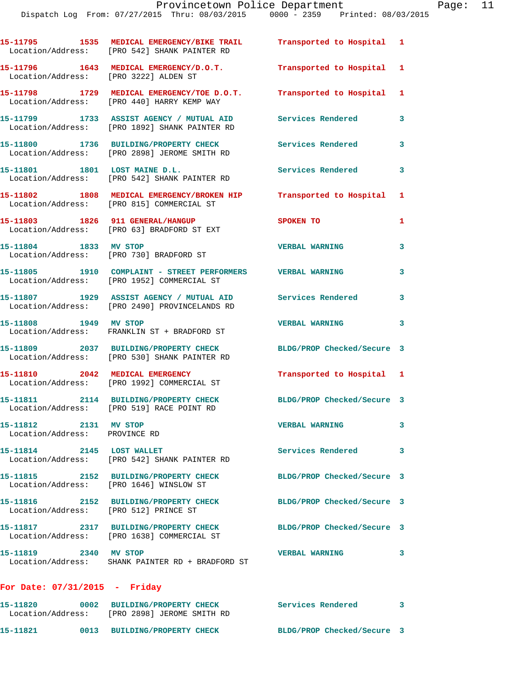|                                                           | 15-11795 1535 MEDICAL EMERGENCY/BIKE TRAIL Transported to Hospital 1<br>Location/Address: [PRO 542] SHANK PAINTER RD |                            |              |
|-----------------------------------------------------------|----------------------------------------------------------------------------------------------------------------------|----------------------------|--------------|
| Location/Address: [PRO 3222] ALDEN ST                     | 15-11796 1643 MEDICAL EMERGENCY/D.O.T.                                                                               | Transported to Hospital 1  |              |
| Location/Address:                                         | 15-11798 1729 MEDICAL EMERGENCY/TOE D.O.T.<br>[PRO 440] HARRY KEMP WAY                                               | Transported to Hospital    | $\mathbf{1}$ |
|                                                           | 15-11799 1733 ASSIST AGENCY / MUTUAL AID<br>Location/Address: [PRO 1892] SHANK PAINTER RD                            | <b>Services Rendered</b>   | 3            |
|                                                           | 15-11800 1736 BUILDING/PROPERTY CHECK<br>Location/Address: [PRO 2898] JEROME SMITH RD                                | <b>Services Rendered</b>   | 3            |
| 15-11801 1801 LOST MAINE D.L.                             | Location/Address: [PRO 542] SHANK PAINTER RD                                                                         | Services Rendered          | $\mathbf{3}$ |
|                                                           | 15-11802 1808 MEDICAL EMERGENCY/BROKEN HIP Transported to Hospital 1<br>Location/Address: [PRO 815] COMMERCIAL ST    |                            |              |
|                                                           | 15-11803 1826 911 GENERAL/HANGUP<br>Location/Address: [PRO 63] BRADFORD ST EXT                                       | SPOKEN TO                  | 1            |
| 15-11804 1833 MV STOP                                     | Location/Address: [PRO 730] BRADFORD ST                                                                              | <b>VERBAL WARNING</b>      | 3            |
|                                                           | 15-11805 1910 COMPLAINT - STREET PERFORMERS VERBAL WARNING<br>Location/Address: [PRO 1952] COMMERCIAL ST             |                            | 3            |
|                                                           | 15-11807 1929 ASSIST AGENCY / MUTUAL AID<br>Location/Address: [PRO 2490] PROVINCELANDS RD                            | <b>Services Rendered</b>   | 3            |
| 15-11808 1949 MV STOP                                     | Location/Address: FRANKLIN ST + BRADFORD ST                                                                          | <b>VERBAL WARNING</b>      | 3            |
|                                                           | 15-11809 2037 BUILDING/PROPERTY CHECK<br>Location/Address: [PRO 530] SHANK PAINTER RD                                | BLDG/PROP Checked/Secure 3 |              |
|                                                           | 15-11810 2042 MEDICAL EMERGENCY<br>Location/Address: [PRO 1992] COMMERCIAL ST                                        | Transported to Hospital 1  |              |
|                                                           | 15-11811 2114 BUILDING/PROPERTY CHECK<br>Location/Address: [PRO 519] RACE POINT RD                                   | BLDG/PROP Checked/Secure 3 |              |
| 2131 MV STOP<br>15-11812<br>Location/Address: PROVINCE RD |                                                                                                                      | <b>VERBAL WARNING</b>      | 3            |
| 15-11814 2145 LOST WALLET                                 | Location/Address: [PRO 542] SHANK PAINTER RD                                                                         | <b>Services Rendered</b>   | 3            |
|                                                           | 15-11815 2152 BUILDING/PROPERTY CHECK<br>Location/Address: [PRO 1646] WINSLOW ST                                     | BLDG/PROP Checked/Secure 3 |              |
|                                                           |                                                                                                                      | BLDG/PROP Checked/Secure 3 |              |
|                                                           | 15-11817 2317 BUILDING/PROPERTY CHECK<br>Location/Address: [PRO 1638] COMMERCIAL ST                                  | BLDG/PROP Checked/Secure 3 |              |
| 15-11819 2340 MV STOP                                     | Location/Address: SHANK PAINTER RD + BRADFORD ST                                                                     | <b>VERBAL WARNING</b>      | 3            |
| For Date: $07/31/2015$ - Friday                           |                                                                                                                      |                            |              |

| 15-11820<br>Location/Address: |      | 0002 BUILDING/PROPERTY CHECK<br>[PRO 2898] JEROME SMITH RD | Services Rendered          |  |
|-------------------------------|------|------------------------------------------------------------|----------------------------|--|
| 15–11821                      | 0013 | <b>BUILDING/PROPERTY CHECK</b>                             | BLDG/PROP Checked/Secure 3 |  |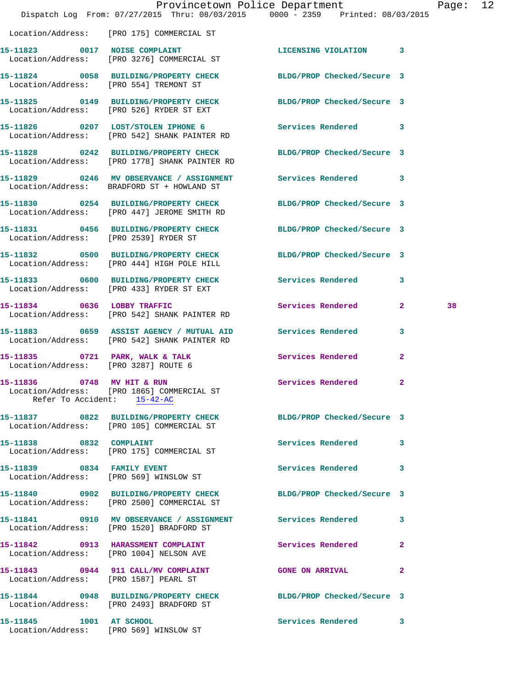|                                       | Dispatch Log From: 07/27/2015 Thru: 08/03/2015 0000 - 2359 Printed: 08/03/2015                                 | Provincetown Police Department |                | Page: 12 |  |
|---------------------------------------|----------------------------------------------------------------------------------------------------------------|--------------------------------|----------------|----------|--|
|                                       | Location/Address: [PRO 175] COMMERCIAL ST                                                                      |                                |                |          |  |
|                                       | 15-11823 0017 NOISE COMPLAINT<br>Location/Address: [PRO 3276] COMMERCIAL ST                                    | LICENSING VIOLATION 3          |                |          |  |
|                                       | 15-11824 0058 BUILDING/PROPERTY CHECK BLDG/PROP Checked/Secure 3<br>Location/Address: [PRO 554] TREMONT ST     |                                |                |          |  |
|                                       | 15-11825 0149 BUILDING/PROPERTY CHECK BLDG/PROP Checked/Secure 3<br>Location/Address: [PRO 526] RYDER ST EXT   |                                |                |          |  |
|                                       | 15-11826 0207 LOST/STOLEN IPHONE 6 Services Rendered 3<br>Location/Address: [PRO 542] SHANK PAINTER RD         |                                |                |          |  |
|                                       | 15-11828 0242 BUILDING/PROPERTY CHECK<br>Location/Address: [PRO 1778] SHANK PAINTER RD                         | BLDG/PROP Checked/Secure 3     |                |          |  |
|                                       | 15-11829 0246 MV OBSERVANCE / ASSIGNMENT Services Rendered 3<br>Location/Address: BRADFORD ST + HOWLAND ST     |                                |                |          |  |
|                                       | 15-11830 0254 BUILDING/PROPERTY CHECK<br>Location/Address: [PRO 447] JEROME SMITH RD                           | BLDG/PROP Checked/Secure 3     |                |          |  |
| Location/Address: [PRO 2539] RYDER ST | 15-11831 0456 BUILDING/PROPERTY CHECK BLDG/PROP Checked/Secure 3                                               |                                |                |          |  |
|                                       | 15-11832 0500 BUILDING/PROPERTY CHECK BLDG/PROP Checked/Secure 3<br>Location/Address: [PRO 444] HIGH POLE HILL |                                |                |          |  |
|                                       | 15-11833 0600 BUILDING/PROPERTY CHECK Services Rendered 3<br>Location/Address: [PRO 433] RYDER ST EXT          |                                |                |          |  |
| 15-11834 0636 LOBBY TRAFFIC           | Location/Address: [PRO 542] SHANK PAINTER RD                                                                   | Services Rendered 2            |                | 38       |  |
|                                       | 15-11883 0659 ASSIST AGENCY / MUTUAL AID Services Rendered<br>Location/Address: [PRO 542] SHANK PAINTER RD     |                                | 3              |          |  |
| Location/Address: [PRO 3287] ROUTE 6  | 15-11835 0721 PARK, WALK & TALK Services Rendered                                                              |                                | $\overline{2}$ |          |  |
| 15-11836 0748 MV HIT & RUN            | Location/Address: [PRO 1865] COMMERCIAL ST<br>Refer To Accident: 15-42-AC                                      | Services Rendered              | 2              |          |  |
|                                       | 15-11837 0822 BUILDING/PROPERTY CHECK BLDG/PROP Checked/Secure 3<br>Location/Address: [PRO 105] COMMERCIAL ST  |                                |                |          |  |
|                                       | 15-11838 0832 COMPLAINT<br>Location/Address: [PRO 175] COMMERCIAL ST                                           | Services Rendered              | 3              |          |  |
| 15-11839 0834 FAMILY EVENT            | Location/Address: [PRO 569] WINSLOW ST                                                                         | Services Rendered 3            |                |          |  |
|                                       | 15-11840 0902 BUILDING/PROPERTY CHECK<br>Location/Address: [PRO 2500] COMMERCIAL ST                            | BLDG/PROP Checked/Secure 3     |                |          |  |
|                                       | 15-11841 0910 MV OBSERVANCE / ASSIGNMENT Services Rendered 3<br>Location/Address: [PRO 1520] BRADFORD ST       |                                |                |          |  |
|                                       | 15-11842 0913 HARASSMENT COMPLAINT<br>Location/Address: [PRO 1004] NELSON AVE                                  | Services Rendered              | $\mathbf{2}$   |          |  |
|                                       | 15-11843 0944 911 CALL/MV COMPLAINT GONE ON ARRIVAL<br>Location/Address: [PRO 1587] PEARL ST                   |                                | $\mathbf{2}$   |          |  |
|                                       | 15-11844 0948 BUILDING/PROPERTY CHECK BLDG/PROP Checked/Secure 3<br>Location/Address: [PRO 2493] BRADFORD ST   |                                |                |          |  |
| 15-11845 1001 AT SCHOOL               | Location/Address: [PRO 569] WINSLOW ST                                                                         | Services Rendered 3            |                |          |  |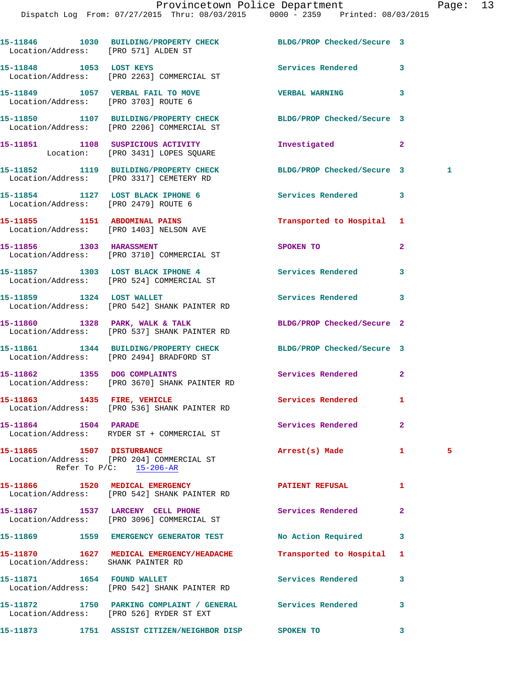|                                | 15-11846 1030 BUILDING/PROPERTY CHECK BLDG/PROP Checked/Secure 3<br>Location/Address: [PRO 571] ALDEN ST |                            |              |   |
|--------------------------------|----------------------------------------------------------------------------------------------------------|----------------------------|--------------|---|
| 15-11848 1053 LOST KEYS        | Location/Address: [PRO 2263] COMMERCIAL ST                                                               | Services Rendered          | 3            |   |
|                                | 15-11849 1057 VERBAL FAIL TO MOVE<br>Location/Address: [PRO 3703] ROUTE 6                                | <b>VERBAL WARNING</b>      | 3            |   |
|                                | 15-11850 1107 BUILDING/PROPERTY CHECK<br>Location/Address: [PRO 2206] COMMERCIAL ST                      | BLDG/PROP Checked/Secure 3 |              |   |
|                                | 15-11851 1108 SUSPICIOUS ACTIVITY<br>Location: [PRO 3431] LOPES SQUARE                                   | Investigated               | $\mathbf{2}$ |   |
|                                | 15-11852 1119 BUILDING/PROPERTY CHECK<br>Location/Address: [PRO 3317] CEMETERY RD                        | BLDG/PROP Checked/Secure 3 |              | 1 |
|                                | 15-11854 1127 LOST BLACK IPHONE 6<br>Location/Address: [PRO 2479] ROUTE 6                                | Services Rendered          | 3            |   |
|                                | 15-11855 1151 ABDOMINAL PAINS<br>Location/Address: [PRO 1403] NELSON AVE                                 | Transported to Hospital    | 1            |   |
|                                | 15-11856 1303 HARASSMENT<br>Location/Address: [PRO 3710] COMMERCIAL ST                                   | SPOKEN TO                  | 2            |   |
|                                | 15-11857 1303 LOST BLACK IPHONE 4<br>Location/Address: [PRO 524] COMMERCIAL ST                           | Services Rendered          | 3            |   |
|                                | 15-11859 1324 LOST WALLET<br>Location/Address: [PRO 542] SHANK PAINTER RD                                | <b>Services Rendered</b>   | 3            |   |
|                                | 15-11860 1328 PARK, WALK & TALK<br>Location/Address: [PRO 537] SHANK PAINTER RD                          | BLDG/PROP Checked/Secure 2 |              |   |
|                                | 15-11861 1344 BUILDING/PROPERTY CHECK<br>Location/Address: [PRO 2494] BRADFORD ST                        | BLDG/PROP Checked/Secure 3 |              |   |
|                                | 15-11862 1355 DOG COMPLAINTS<br>Location/Address: [PRO 3670] SHANK PAINTER RD                            | Services Rendered          | $\mathbf{2}$ |   |
|                                | 15-11863 1435 FIRE, VEHICLE<br>Location/Address: [PRO 536] SHANK PAINTER RD                              | Services Rendered          | 1            |   |
| 15-11864 1504 PARADE           | Location/Address: RYDER ST + COMMERCIAL ST                                                               | Services Rendered          | 2            |   |
| 15-11865 1507 DISTURBANCE      | Location/Address: [PRO 204] COMMERCIAL ST<br>Refer To $P/C$ : 15-206-AR                                  | Arrest(s) Made             | 1            | 5 |
|                                | 15-11866 1520 MEDICAL EMERGENCY<br>Location/Address: [PRO 542] SHANK PAINTER RD                          | <b>PATIENT REFUSAL</b>     | 1            |   |
|                                | Location/Address: [PRO 3096] COMMERCIAL ST                                                               | Services Rendered          | 2            |   |
|                                | 15-11869 1559 EMERGENCY GENERATOR TEST                                                                   | No Action Required         | 3            |   |
|                                | 15-11870 1627 MEDICAL EMERGENCY/HEADACHE<br>Location/Address: SHANK PAINTER RD                           | Transported to Hospital    | 1            |   |
| 15-11871   1654   FOUND WALLET | Location/Address: [PRO 542] SHANK PAINTER RD                                                             | <b>Services Rendered</b>   | 3            |   |
|                                | Location/Address: [PRO 526] RYDER ST EXT                                                                 | Services Rendered          | 3            |   |
| 15-11873                       | 1751 ASSIST CITIZEN/NEIGHBOR DISP                                                                        | SPOKEN TO                  | 3            |   |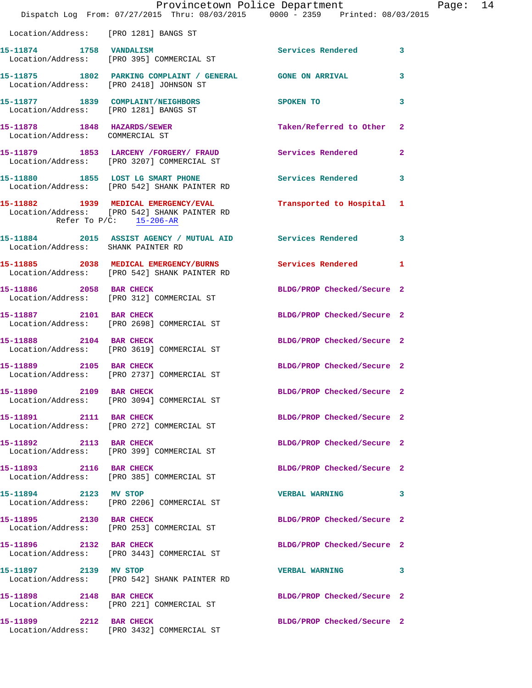|                                         | Provincetown Police Department<br>Dispatch Log From: 07/27/2015 Thru: 08/03/2015 0000 - 2359 Printed: 08/03/2015 |                            |              | Page: 14 |  |
|-----------------------------------------|------------------------------------------------------------------------------------------------------------------|----------------------------|--------------|----------|--|
| Location/Address: [PRO 1281] BANGS ST   |                                                                                                                  |                            |              |          |  |
|                                         | 15-11874 1758 VANDALISM<br>Location/Address: [PRO 395] COMMERCIAL ST                                             | Services Rendered 3        |              |          |  |
| Location/Address: [PRO 2418] JOHNSON ST | 15-11875 1802 PARKING COMPLAINT / GENERAL GONE ON ARRIVAL                                                        |                            | 3            |          |  |
|                                         | 15-11877 1839 COMPLAINT/NEIGHBORS SPOKEN TO<br>Location/Address: [PRO 1281] BANGS ST                             |                            | $\mathbf{3}$ |          |  |
| Location/Address: COMMERCIAL ST         | 15-11878 1848 HAZARDS/SEWER                                                                                      | Taken/Referred to Other 2  |              |          |  |
|                                         | 15-11879 1853 LARCENY / FORGERY / FRAUD Services Rendered<br>Location/Address: [PRO 3207] COMMERCIAL ST          |                            | $\mathbf{2}$ |          |  |
|                                         | 15-11880 1855 LOST LG SMART PHONE<br>Location/Address: [PRO 542] SHANK PAINTER RD                                | <b>Services Rendered</b>   | 3            |          |  |
| Refer To $P/C$ : 15-206-AR              | 15-11882 1939 MEDICAL EMERGENCY/EVAL<br>Location/Address: [PRO 542] SHANK PAINTER RD                             | Transported to Hospital 1  |              |          |  |
| Location/Address: SHANK PAINTER RD      | 15-11884 2015 ASSIST AGENCY / MUTUAL AID Services Rendered 3                                                     |                            |              |          |  |
|                                         | 15-11885 2038 MEDICAL EMERGENCY/BURNS Services Rendered 1<br>Location/Address: [PRO 542] SHANK PAINTER RD        |                            |              |          |  |
|                                         | 15-11886 2058 BAR CHECK<br>Location/Address: [PRO 312] COMMERCIAL ST                                             | BLDG/PROP Checked/Secure 2 |              |          |  |
|                                         | 15-11887 2101 BAR CHECK<br>Location/Address: [PRO 2698] COMMERCIAL ST                                            | BLDG/PROP Checked/Secure 2 |              |          |  |
| 15-11888 2104 BAR CHECK                 | Location/Address: [PRO 3619] COMMERCIAL ST                                                                       | BLDG/PROP Checked/Secure 2 |              |          |  |
| 15-11889 2105 BAR CHECK                 | Location/Address: [PRO 2737] COMMERCIAL ST                                                                       | BLDG/PROP Checked/Secure 2 |              |          |  |
| 15-11890 2109 BAR CHECK                 | Location/Address: [PRO 3094] COMMERCIAL ST                                                                       | BLDG/PROP Checked/Secure 2 |              |          |  |
| 15-11891 2111 BAR CHECK                 | Location/Address: [PRO 272] COMMERCIAL ST                                                                        | BLDG/PROP Checked/Secure 2 |              |          |  |
| 15-11892 2113 BAR CHECK                 | Location/Address: [PRO 399] COMMERCIAL ST                                                                        | BLDG/PROP Checked/Secure 2 |              |          |  |
| 15-11893 2116 BAR CHECK                 | Location/Address: [PRO 385] COMMERCIAL ST                                                                        | BLDG/PROP Checked/Secure 2 |              |          |  |
| 15-11894 2123 MV STOP                   | Location/Address: [PRO 2206] COMMERCIAL ST                                                                       | VERBAL WARNING 3           |              |          |  |
|                                         | 15-11895 2130 BAR CHECK<br>Location/Address: [PRO 253] COMMERCIAL ST                                             | BLDG/PROP Checked/Secure 2 |              |          |  |
| 15-11896 2132 BAR CHECK                 | Location/Address: [PRO 3443] COMMERCIAL ST                                                                       | BLDG/PROP Checked/Secure 2 |              |          |  |
| 15-11897 2139 MV STOP                   | Location/Address: [PRO 542] SHANK PAINTER RD                                                                     | VERBAL WARNING 3           |              |          |  |
| 15-11898 2148 BAR CHECK                 | Location/Address: [PRO 221] COMMERCIAL ST                                                                        | BLDG/PROP Checked/Secure 2 |              |          |  |
|                                         | 15-11899 2212 BAR CHECK<br>Location/Address: [PRO 3432] COMMERCIAL ST                                            | BLDG/PROP Checked/Secure 2 |              |          |  |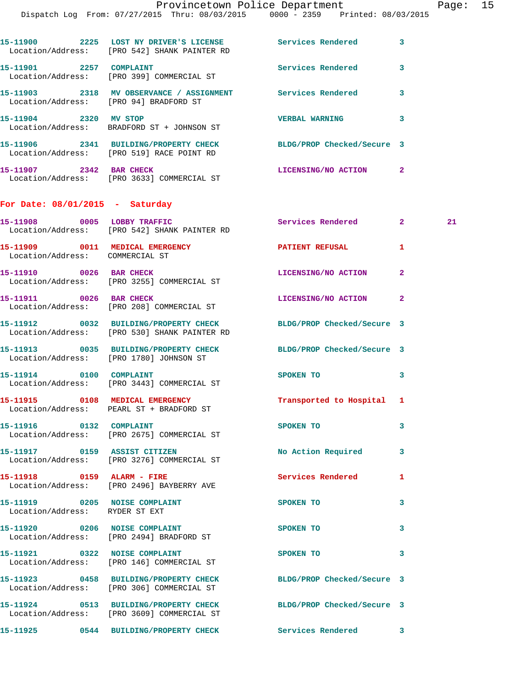| 2225<br>15-11900                      | LOST NY DRIVER'S LICENSE<br>Location/Address: [PRO 542] SHANK PAINTER RD    | Services Rendered          | 3 |
|---------------------------------------|-----------------------------------------------------------------------------|----------------------------|---|
| 2257<br>15-11901                      | <b>COMPLAINT</b><br>Location/Address: [PRO 399] COMMERCIAL ST               | Services Rendered          | 3 |
| 15-11903 2318<br>Location/Address:    | MV OBSERVANCE / ASSIGNMENT<br>[PRO 94] BRADFORD ST                          | Services Rendered          | 3 |
| 15-11904<br>2320                      | MV STOP<br>Location/Address: BRADFORD ST + JOHNSON ST                       | <b>VERBAL WARNING</b>      | 3 |
| 2341<br>15–11906                      | <b>BUILDING/PROPERTY CHECK</b><br>Location/Address: [PRO 519] RACE POINT RD | BLDG/PROP Checked/Secure 3 |   |
| 15–11907<br>2342<br>Location/Address: | <b>BAR CHECK</b><br>FRO 36331 COMMERCIAL ST                                 | LICENSING/NO ACTION        | 2 |

## **For Date: 08/01/2015 - Saturday**

| 15-11908 0005 LOBBY TRAFFIC                                        | Location/Address: [PRO 542] SHANK PAINTER RD                                                                     | <b>Services Rendered</b>   | $\mathbf{2}$   | 21 |
|--------------------------------------------------------------------|------------------------------------------------------------------------------------------------------------------|----------------------------|----------------|----|
| 15-11909 0011 MEDICAL EMERGENCY<br>Location/Address: COMMERCIAL ST |                                                                                                                  | PATIENT REFUSAL            | 1              |    |
| 15-11910 0026 BAR CHECK                                            | Location/Address: [PRO 3255] COMMERCIAL ST                                                                       | LICENSING/NO ACTION        | $\overline{a}$ |    |
| 15-11911 0026 BAR CHECK                                            | Location/Address: [PRO 208] COMMERCIAL ST                                                                        | LICENSING/NO ACTION        | $\overline{2}$ |    |
|                                                                    | 15-11912 0032 BUILDING/PROPERTY CHECK BLDG/PROP Checked/Secure 3<br>Location/Address: [PRO 530] SHANK PAINTER RD |                            |                |    |
|                                                                    | 15-11913 0035 BUILDING/PROPERTY CHECK<br>Location/Address: [PRO 1780] JOHNSON ST                                 | BLDG/PROP Checked/Secure 3 |                |    |
| 15-11914 0100 COMPLAINT                                            | Location/Address: [PRO 3443] COMMERCIAL ST                                                                       | SPOKEN TO                  | 3              |    |
|                                                                    | 15-11915 0108 MEDICAL EMERGENCY<br>Location/Address: PEARL ST + BRADFORD ST                                      | Transported to Hospital    | 1              |    |
| 15-11916 0132 COMPLAINT                                            | Location/Address: [PRO 2675] COMMERCIAL ST                                                                       | SPOKEN TO                  | 3              |    |
|                                                                    | 15-11917 0159 ASSIST CITIZEN<br>Location/Address: [PRO 3276] COMMERCIAL ST                                       | No Action Required         | 3              |    |
|                                                                    | 15-11918 0159 ALARM - FIRE<br>Location/Address: [PRO 2496] BAYBERRY AVE                                          | <b>Services Rendered</b>   | 1              |    |
| 15-11919 0205 NOISE COMPLAINT<br>Location/Address: RYDER ST EXT    |                                                                                                                  | SPOKEN TO                  | 3              |    |
|                                                                    | 15-11920 0206 NOISE COMPLAINT<br>Location/Address: [PRO 2494] BRADFORD ST                                        | SPOKEN TO                  | 3              |    |
|                                                                    | 15-11921 0322 NOISE COMPLAINT<br>Location/Address: [PRO 146] COMMERCIAL ST                                       | SPOKEN TO                  | 3              |    |
|                                                                    | 15-11923 0458 BUILDING/PROPERTY CHECK<br>Location/Address: [PRO 306] COMMERCIAL ST                               | BLDG/PROP Checked/Secure 3 |                |    |
|                                                                    | 15-11924 0513 BUILDING/PROPERTY CHECK<br>Location/Address: [PRO 3609] COMMERCIAL ST                              | BLDG/PROP Checked/Secure 3 |                |    |
|                                                                    | 15-11925 0544 BUILDING/PROPERTY CHECK Services Rendered 3                                                        |                            |                |    |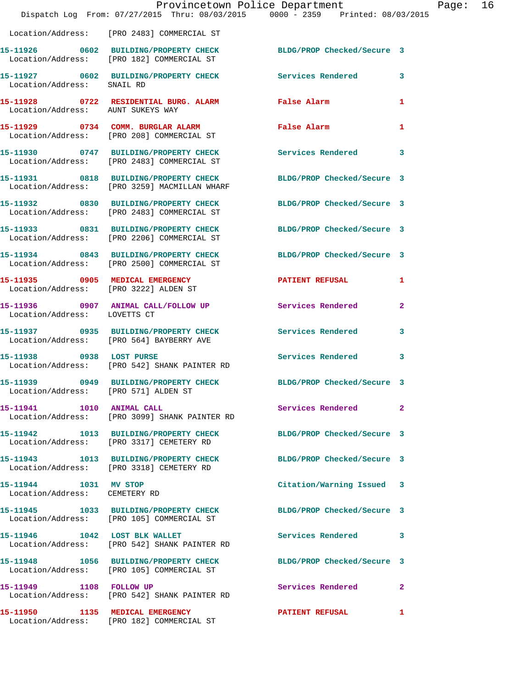|                                                        | Provincetown Police Department<br>Dispatch Log From: 07/27/2015 Thru: 08/03/2015 0000 - 2359 Printed: 08/03/2015 |                            |              |
|--------------------------------------------------------|------------------------------------------------------------------------------------------------------------------|----------------------------|--------------|
|                                                        | Location/Address: [PRO 2483] COMMERCIAL ST                                                                       |                            |              |
|                                                        | 15-11926 0602 BUILDING/PROPERTY CHECK BLDG/PROP Checked/Secure 3<br>Location/Address: [PRO 182] COMMERCIAL ST    |                            |              |
| Location/Address: SNAIL RD                             | 15-11927 0602 BUILDING/PROPERTY CHECK Services Rendered                                                          |                            | $\mathbf{3}$ |
|                                                        | 15-11928 0722 RESIDENTIAL BURG. ALARM<br>Location/Address: AUNT SUKEYS WAY                                       | <b>False Alarm</b>         | 1            |
|                                                        | 15-11929 0734 COMM. BURGLAR ALARM<br>Location/Address: [PRO 208] COMMERCIAL ST                                   | False Alarm                | 1            |
|                                                        | 15-11930 0747 BUILDING/PROPERTY CHECK<br>Location/Address: [PRO 2483] COMMERCIAL ST                              | <b>Services Rendered</b>   | 3            |
|                                                        | 15-11931 0818 BUILDING/PROPERTY CHECK<br>Location/Address: [PRO 3259] MACMILLAN WHARF                            | BLDG/PROP Checked/Secure 3 |              |
|                                                        | 15-11932 0830 BUILDING/PROPERTY CHECK<br>Location/Address: [PRO 2483] COMMERCIAL ST                              | BLDG/PROP Checked/Secure 3 |              |
|                                                        | 15-11933 0831 BUILDING/PROPERTY CHECK<br>Location/Address: [PRO 2206] COMMERCIAL ST                              | BLDG/PROP Checked/Secure 3 |              |
|                                                        | 15-11934 0843 BUILDING/PROPERTY CHECK<br>Location/Address: [PRO 2500] COMMERCIAL ST                              | BLDG/PROP Checked/Secure 3 |              |
| Location/Address: [PRO 3222] ALDEN ST                  | 15-11935 0905 MEDICAL EMERGENCY                                                                                  | <b>PATIENT REFUSAL</b>     | 1            |
| Location/Address: LOVETTS CT                           | 15-11936 0907 ANIMAL CALL/FOLLOW UP Services Rendered                                                            |                            | $\mathbf{2}$ |
|                                                        | 15-11937 0935 BUILDING/PROPERTY CHECK<br>Location/Address: [PRO 564] BAYBERRY AVE                                | Services Rendered          | 3            |
| 15-11938 0938 LOST PURSE                               | Location/Address: [PRO 542] SHANK PAINTER RD                                                                     | <b>Services Rendered</b>   | 3            |
| Location/Address: [PRO 571] ALDEN ST                   | 15-11939 0949 BUILDING/PROPERTY CHECK                                                                            | BLDG/PROP Checked/Secure 3 |              |
| 15-11941    1010    ANIMAL CALL                        | Location/Address: [PRO 3099] SHANK PAINTER RD                                                                    | <b>Services Rendered</b>   | $\mathbf{2}$ |
|                                                        | 15-11942 1013 BUILDING/PROPERTY CHECK<br>Location/Address: [PRO 3317] CEMETERY RD                                | BLDG/PROP Checked/Secure 3 |              |
|                                                        | 15-11943 1013 BUILDING/PROPERTY CHECK<br>Location/Address: [PRO 3318] CEMETERY RD                                | BLDG/PROP Checked/Secure 3 |              |
| 15-11944 1031 MV STOP<br>Location/Address: CEMETERY RD |                                                                                                                  | Citation/Warning Issued 3  |              |
|                                                        | 15-11945 1033 BUILDING/PROPERTY CHECK<br>Location/Address: [PRO 105] COMMERCIAL ST                               | BLDG/PROP Checked/Secure 3 |              |
|                                                        | 15-11946 1042 LOST BLK WALLET<br>Location/Address: [PRO 542] SHANK PAINTER RD                                    | <b>Services Rendered</b>   | 3            |
|                                                        | 15-11948 1056 BUILDING/PROPERTY CHECK<br>Location/Address: [PRO 105] COMMERCIAL ST                               | BLDG/PROP Checked/Secure 3 |              |
|                                                        | 15-11949 1108 FOLLOW UP<br>Location/Address: [PRO 542] SHANK PAINTER RD                                          | Services Rendered          | 2            |
| 15-11950 1135 MEDICAL EMERGENCY                        | Location/Address: [PRO 182] COMMERCIAL ST                                                                        | <b>PATIENT REFUSAL</b>     | 1            |

Page: 16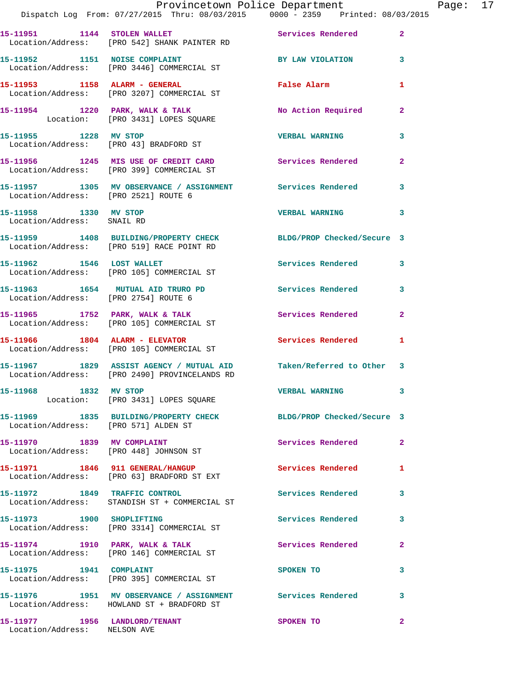|                                                     | Provincetown Police Department<br>Dispatch Log From: 07/27/2015 Thru: 08/03/2015 0000 - 2359 Printed: 08/03/2015    |                          |                |
|-----------------------------------------------------|---------------------------------------------------------------------------------------------------------------------|--------------------------|----------------|
|                                                     |                                                                                                                     |                          |                |
|                                                     | 15-11951 1144 STOLEN WALLET<br>Location/Address: [PRO 542] SHANK PAINTER RD                                         | Services Rendered        | $\mathbf{2}$   |
| 15-11952 1151 NOISE COMPLAINT                       | Location/Address: [PRO 3446] COMMERCIAL ST                                                                          | BY LAW VIOLATION         | 3              |
|                                                     | 15-11953 1158 ALARM - GENERAL<br>Location/Address: [PRO 3207] COMMERCIAL ST                                         | False Alarm              | 1              |
|                                                     | 15-11954 1220 PARK, WALK & TALK 15-11954 1220 PARK, WALK & TALK 150 Mo Action Required                              |                          | $\mathbf{2}$   |
| 15-11955 1228 MV STOP                               | Location/Address: [PRO 43] BRADFORD ST                                                                              | <b>VERBAL WARNING</b>    | 3              |
|                                                     | 15-11956 1245 MIS USE OF CREDIT CARD<br>Location/Address: [PRO 399] COMMERCIAL ST                                   | Services Rendered        | $\overline{a}$ |
| Location/Address: [PRO 2521] ROUTE 6                | 15-11957 1305 MV OBSERVANCE / ASSIGNMENT Services Rendered                                                          |                          | 3              |
| 15-11958 1330 MV STOP<br>Location/Address: SNAIL RD |                                                                                                                     | <b>VERBAL WARNING</b>    | 3              |
|                                                     | 15-11959 1408 BUILDING/PROPERTY CHECK BLDG/PROP Checked/Secure 3<br>Location/Address: [PRO 519] RACE POINT RD       |                          |                |
|                                                     | 15-11962 1546 LOST WALLET<br>Location/Address: [PRO 105] COMMERCIAL ST                                              | Services Rendered        | 3              |
| Location/Address: [PRO 2754] ROUTE 6                | 15-11963 1654 MUTUAL AID TRURO PD                                                                                   | Services Rendered        | 3              |
|                                                     | 15-11965               1752     PARK, WALK & TALK<br>Location/Address:     [PRO 105] COMMERCIAL ST                  | Services Rendered        | $\mathbf{2}$   |
|                                                     | $15-11966$ 1804 ALARM - ELEVATOR<br>Location/Address: [PRO 105] COMMERCIAL ST                                       | <b>Services Rendered</b> | 1              |
|                                                     | 15-11967 1829 ASSIST AGENCY / MUTUAL AID Taken/Referred to Other 3<br>Location/Address: [PRO 2490] PROVINCELANDS RD |                          |                |
| 15-11968 1832 MV STOP                               | Location: [PRO 3431] LOPES SQUARE                                                                                   | <b>VERBAL WARNING</b>    |                |
| Location/Address: [PRO 571] ALDEN ST                | 15-11969 1835 BUILDING/PROPERTY CHECK BLDG/PROP Checked/Secure 3                                                    |                          |                |
| 15-11970 1839 MV COMPLAINT                          | Location/Address: [PRO 448] JOHNSON ST                                                                              | Services Rendered        | $\overline{2}$ |
|                                                     | 15-11971 1846 911 GENERAL/HANGUP<br>Location/Address: [PRO 63] BRADFORD ST EXT                                      | <b>Services Rendered</b> | 1              |
|                                                     | 15-11972 1849 TRAFFIC CONTROL<br>Location/Address: STANDISH ST + COMMERCIAL ST                                      | <b>Services Rendered</b> | $\mathbf{3}$   |
|                                                     | 15-11973 1900 SHOPLIFTING<br>Location/Address: [PRO 3314] COMMERCIAL ST                                             | Services Rendered        | 3              |
|                                                     | 15-11974 1910 PARK, WALK & TALK<br>Location/Address: [PRO 146] COMMERCIAL ST                                        | Services Rendered        | $\overline{a}$ |
|                                                     | 15-11975    1941    COMPLAINT<br>Location/Address: [PRO 395] COMMERCIAL ST                                          | SPOKEN TO                | 3              |
|                                                     | 15-11976 1951 MV OBSERVANCE / ASSIGNMENT Services Rendered<br>Location/Address: HOWLAND ST + BRADFORD ST            |                          | 3              |
| 15-11977 1956 LANDLORD/TENANT                       |                                                                                                                     | SPOKEN TO                | $\mathbf{2}$   |

Location/Address: NELSON AVE

Page: 17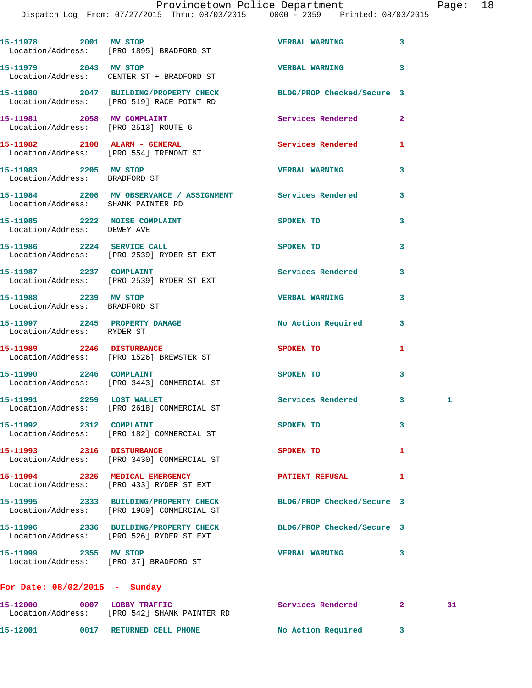|                                                                         | 15-11978 2001 MV STOP<br>Location/Address: [PRO 1895] BRADFORD ST                                             | VERBAL WARNING 3           |   |    |
|-------------------------------------------------------------------------|---------------------------------------------------------------------------------------------------------------|----------------------------|---|----|
| 15-11979 2043 MV STOP                                                   | Location/Address: CENTER ST + BRADFORD ST                                                                     | VERBAL WARNING 3           |   |    |
|                                                                         | 15-11980 2047 BUILDING/PROPERTY CHECK BLDG/PROP Checked/Secure 3<br>Location/Address: [PRO 519] RACE POINT RD |                            |   |    |
| 15-11981 2058 MV COMPLAINT<br>Location/Address: [PRO 2513] ROUTE 6      |                                                                                                               | Services Rendered 2        |   |    |
| 15-11982 2108 ALARM - GENERAL<br>Location/Address: [PRO 554] TREMONT ST |                                                                                                               | <b>Services Rendered</b>   | 1 |    |
| 15-11983 2205 MV STOP<br>Location/Address: BRADFORD ST                  |                                                                                                               | <b>VERBAL WARNING</b>      | 3 |    |
| Location/Address: SHANK PAINTER RD                                      | 15-11984 2206 MV OBSERVANCE / ASSIGNMENT Services Rendered                                                    |                            | 3 |    |
| 15-11985 2222 NOISE COMPLAINT<br>Location/Address: DEWEY AVE            |                                                                                                               | SPOKEN TO                  | 3 |    |
|                                                                         | 15-11986 2224 SERVICE CALL<br>Location/Address: [PRO 2539] RYDER ST EXT                                       | SPOKEN TO                  | 3 |    |
| 15-11987   2237   COMPLAINT                                             | Location/Address: [PRO 2539] RYDER ST EXT                                                                     | <b>Services Rendered</b>   | 3 |    |
| 15-11988 2239 MV STOP<br>Location/Address: BRADFORD ST                  |                                                                                                               | <b>VERBAL WARNING</b>      | 3 |    |
| 15-11997 2245 PROPERTY DAMAGE<br>Location/Address: RYDER ST             |                                                                                                               | No Action Required 3       |   |    |
|                                                                         | 15-11989 2246 DISTURBANCE<br>Location/Address: [PRO 1526] BREWSTER ST                                         | SPOKEN TO                  | 1 |    |
| 15-11990 2246 COMPLAINT                                                 | Location/Address: [PRO 3443] COMMERCIAL ST                                                                    | SPOKEN TO                  | 3 |    |
|                                                                         | 15-11991 2259 LOST WALLET<br>Location/Address: [PRO 2618] COMMERCIAL ST                                       | Services Rendered 3        |   | 1  |
| 15-11992 2312 COMPLAINT                                                 | Location/Address: [PRO 182] COMMERCIAL ST                                                                     | SPOKEN TO                  | 3 |    |
| 15-11993 2316 DISTURBANCE                                               | Location/Address: [PRO 3430] COMMERCIAL ST                                                                    | SPOKEN TO                  | 1 |    |
| 15-11994 2325 MEDICAL EMERGENCY                                         | Location/Address: [PRO 433] RYDER ST EXT                                                                      | <b>PATIENT REFUSAL</b>     | 1 |    |
|                                                                         | 15-11995 2333 BUILDING/PROPERTY CHECK<br>Location/Address: [PRO 1989] COMMERCIAL ST                           | BLDG/PROP Checked/Secure 3 |   |    |
|                                                                         | 15-11996 2336 BUILDING/PROPERTY CHECK BLDG/PROP Checked/Secure 3<br>Location/Address: [PRO 526] RYDER ST EXT  |                            |   |    |
| 15-11999 2355 MV STOP<br>Location/Address: [PRO 37] BRADFORD ST         |                                                                                                               | <b>VERBAL WARNING</b>      | 3 |    |
| For Date: $08/02/2015$ - Sunday                                         |                                                                                                               |                            |   |    |
|                                                                         | 15-12000 0007 LOBBY TRAFFIC<br>Location/Address: [PRO 542] SHANK PAINTER RD                                   | Services Rendered 2        |   | 31 |

**15-12001 0017 RETURNED CELL PHONE No Action Required 3**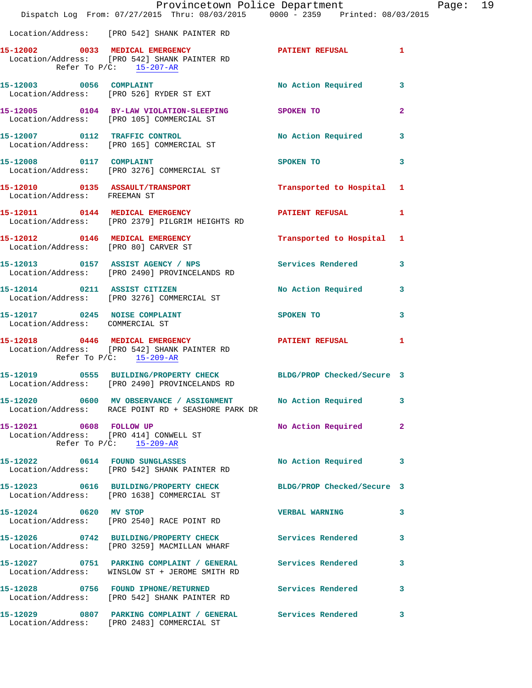|                                                                  | Provincetown Police Department<br>Dispatch Log From: 07/27/2015 Thru: 08/03/2015 0000 - 2359 Printed: 08/03/2015           |                           |                |
|------------------------------------------------------------------|----------------------------------------------------------------------------------------------------------------------------|---------------------------|----------------|
|                                                                  | Location/Address: [PRO 542] SHANK PAINTER RD                                                                               |                           |                |
|                                                                  | 15-12002 0033 MEDICAL EMERGENCY<br>Location/Address: [PRO 542] SHANK PAINTER RD<br>Refer To $P/C$ : $15-207-R$             | <b>PATIENT REFUSAL</b>    | $\mathbf{1}$   |
|                                                                  | 15-12003 0056 COMPLAINT<br>Location/Address: [PRO 526] RYDER ST EXT                                                        | No Action Required        | 3              |
|                                                                  | 15-12005 0104 BY-LAW VIOLATION-SLEEPING SPOKEN TO<br>Location/Address: [PRO 105] COMMERCIAL ST                             |                           | $\overline{a}$ |
|                                                                  | 15-12007 0112 TRAFFIC CONTROL<br>Location/Address: [PRO 165] COMMERCIAL ST                                                 | No Action Required        | 3              |
| 15-12008 0117 COMPLAINT                                          | Location/Address: [PRO 3276] COMMERCIAL ST                                                                                 | SPOKEN TO                 | 3              |
| Location/Address: FREEMAN ST                                     | 15-12010 0135 ASSAULT/TRANSPORT                                                                                            | Transported to Hospital   | 1              |
|                                                                  | 15-12011 0144 MEDICAL EMERGENCY<br>Location/Address: [PRO 2379] PILGRIM HEIGHTS RD                                         | <b>PATIENT REFUSAL</b>    | 1              |
|                                                                  | 15-12012 0146 MEDICAL EMERGENCY<br>Location/Address: [PRO 80] CARVER ST                                                    | Transported to Hospital   | 1              |
|                                                                  | 15-12013 0157 ASSIST AGENCY / NPS Services Rendered<br>Location/Address: [PRO 2490] PROVINCELANDS RD                       |                           | 3              |
|                                                                  | 15-12014 0211 ASSIST CITIZEN<br>Location/Address: [PRO 3276] COMMERCIAL ST                                                 | <b>No Action Required</b> | 3              |
| 15-12017 0245 NOISE COMPLAINT<br>Location/Address: COMMERCIAL ST |                                                                                                                            | <b>SPOKEN TO</b>          | 3              |
|                                                                  | 15-12018 0446 MEDICAL EMERGENCY<br>Location/Address: [PRO 542] SHANK PAINTER RD<br>Refer To $P/C$ : $\frac{15-209-AR}{25}$ | PATIENT REFUSAL           | 1              |
|                                                                  | 15-12019 0555 BUILDING/PROPERTY CHECK BLDG/PROP Checked/Secure 3<br>Location/Address: [PRO 2490] PROVINCELANDS RD          |                           |                |
|                                                                  | 15-12020 0600 MV OBSERVANCE / ASSIGNMENT No Action Required<br>Location/Address: RACE POINT RD + SEASHORE PARK DR          |                           | 3              |
| 15-12021 0608 FOLLOW UP                                          | Location/Address: [PRO 414] CONWELL ST<br>Refer To P/C: 15-209-AR                                                          | No Action Required        | $\overline{2}$ |
|                                                                  | 15-12022 0614 FOUND SUNGLASSES<br>Location/Address: [PRO 542] SHANK PAINTER RD                                             | No Action Required        | 3              |
|                                                                  | 15-12023 0616 BUILDING/PROPERTY CHECK BLDG/PROP Checked/Secure 3<br>Location/Address: [PRO 1638] COMMERCIAL ST             |                           |                |
| 15-12024 0620 MV STOP                                            | Location/Address: [PRO 2540] RACE POINT RD                                                                                 | <b>VERBAL WARNING</b>     | 3              |
|                                                                  | 15-12026 0742 BUILDING/PROPERTY CHECK Services Rendered<br>Location/Address: [PRO 3259] MACMILLAN WHARF                    |                           | 3              |
|                                                                  | 15-12027 0751 PARKING COMPLAINT / GENERAL Services Rendered<br>Location/Address: WINSLOW ST + JEROME SMITH RD              |                           | 3              |
|                                                                  | 15-12028 0756 FOUND IPHONE/RETURNED<br>Location/Address: [PRO 542] SHANK PAINTER RD                                        | Services Rendered         | 3              |
|                                                                  | 15-12029 0807 PARKING COMPLAINT / GENERAL Services Rendered<br>Location/Address: [PRO 2483] COMMERCIAL ST                  |                           | 3              |

Page: 19<br>
115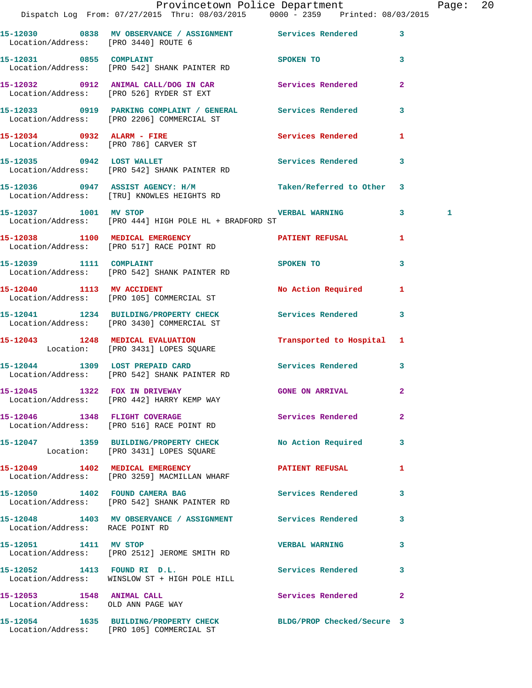|                                                                 | Provincetown Police Department<br>Dispatch Log From: 07/27/2015 Thru: 08/03/2015 0000 - 2359 Printed: 08/03/2015   |                           |                | Page: 20 |  |
|-----------------------------------------------------------------|--------------------------------------------------------------------------------------------------------------------|---------------------------|----------------|----------|--|
|                                                                 |                                                                                                                    |                           |                |          |  |
|                                                                 | 15-12030 0838 MV OBSERVANCE / ASSIGNMENT Services Rendered 3<br>Location/Address: [PRO 3440] ROUTE 6               |                           |                |          |  |
| 15-12031 0855 COMPLAINT                                         | Location/Address: [PRO 542] SHANK PAINTER RD                                                                       | SPOKEN TO                 | $\mathbf{3}$   |          |  |
|                                                                 |                                                                                                                    |                           |                |          |  |
|                                                                 | 15-12033 0919 PARKING COMPLAINT / GENERAL Services Rendered 3<br>Location/Address: [PRO 2206] COMMERCIAL ST        |                           |                |          |  |
|                                                                 | 15-12034 0932 ALARM - FIRE<br>Location/Address: [PRO 786] CARVER ST                                                | Services Rendered 1       |                |          |  |
|                                                                 | 15-12035 0942 LOST WALLET Services Rendered 3<br>Location/Address: [PRO 542] SHANK PAINTER RD                      |                           |                |          |  |
|                                                                 | 15-12036 0947 ASSIST AGENCY: H/M Taken/Referred to Other 3<br>Location/Address: [TRU] KNOWLES HEIGHTS RD           |                           |                |          |  |
|                                                                 | 15-12037 1001 MV STOP 1001 2001 1001 2002 1001 1001 1002<br>Location/Address: [PRO 444] HIGH POLE HL + BRADFORD ST |                           |                | 1        |  |
|                                                                 | 15-12038 1100 MEDICAL EMERGENCY 1 PATIENT REFUSAL 1<br>Location/Address: [PRO 517] RACE POINT RD                   |                           |                |          |  |
|                                                                 | 15-12039 1111 COMPLAINT SPOKEN TO<br>Location/Address: [PRO 542] SHANK PAINTER RD                                  |                           | $\mathbf{3}$   |          |  |
|                                                                 | 15-12040 1113 MV ACCIDENT<br>Location/Address: [PRO 105] COMMERCIAL ST                                             | No Action Required 1      |                |          |  |
|                                                                 | 15-12041 1234 BUILDING/PROPERTY CHECK Services Rendered 3<br>Location/Address: [PRO 3430] COMMERCIAL ST            |                           |                |          |  |
|                                                                 | 15-12043 1248 MEDICAL EVALUATION<br>Location: [PRO 3431] LOPES SQUARE                                              | Transported to Hospital 1 |                |          |  |
|                                                                 | 15-12044 1309 LOST PREPAID CARD<br>Location/Address: [PRO 542] SHANK PAINTER RD                                    | Services Rendered 3       |                |          |  |
|                                                                 | 15-12045 1322 FOX IN DRIVEWAY 6ONE ON ARRIVAL<br>Location/Address: [PRO 442] HARRY KEMP WAY                        |                           |                |          |  |
|                                                                 | 15-12046 1348 FLIGHT COVERAGE<br>Location/Address: [PRO 516] RACE POINT RD                                         | Services Rendered         | $\overline{2}$ |          |  |
|                                                                 | 15-12047 1359 BUILDING/PROPERTY CHECK No Action Required 3<br>Location: [PRO 3431] LOPES SQUARE                    |                           |                |          |  |
|                                                                 | 15-12049 1402 MEDICAL EMERGENCY<br>Location/Address: [PRO 3259] MACMILLAN WHARF                                    | <b>PATIENT REFUSAL</b>    | 1              |          |  |
|                                                                 | 15-12050 1402 FOUND CAMERA BAG Services Rendered 3<br>Location/Address: [PRO 542] SHANK PAINTER RD                 |                           |                |          |  |
| Location/Address: RACE POINT RD                                 | 15-12048 1403 MV OBSERVANCE / ASSIGNMENT Services Rendered                                                         |                           | 3              |          |  |
| 15-12051 1411 MV STOP                                           | Location/Address: [PRO 2512] JEROME SMITH RD                                                                       | <b>VERBAL WARNING</b>     | 3              |          |  |
|                                                                 | 15-12052 1413 FOUND RI D.L. Services Rendered<br>Location/Address: WINSLOW ST + HIGH POLE HILL                     |                           | 3              |          |  |
| 15-12053 1548 ANIMAL CALL<br>Location/Address: OLD ANN PAGE WAY |                                                                                                                    | Services Rendered 2       |                |          |  |
|                                                                 | 15-12054 1635 BUILDING/PROPERTY CHECK BLDG/PROP Checked/Secure 3<br>Location/Address: [PRO 105] COMMERCIAL ST      |                           |                |          |  |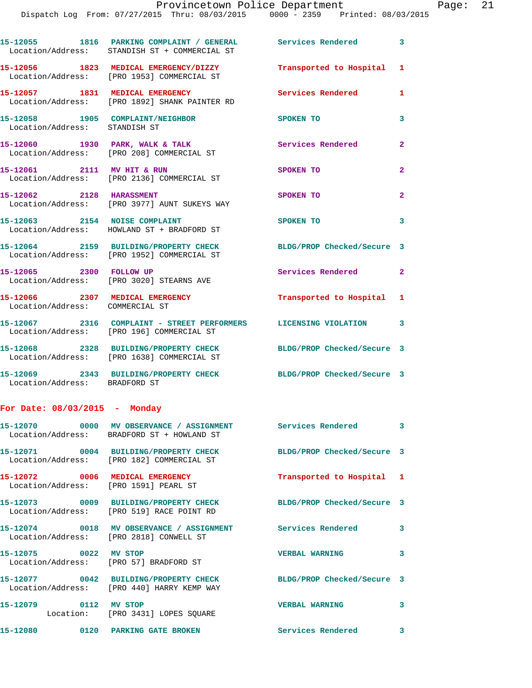**15-12055 1816 PARKING COMPLAINT / GENERAL Services Rendered 3** 

|                                                                   | Location/Address: STANDISH ST + COMMERCIAL ST                                                                  |                            |                |
|-------------------------------------------------------------------|----------------------------------------------------------------------------------------------------------------|----------------------------|----------------|
|                                                                   | 15-12056 1823 MEDICAL EMERGENCY/DIZZY<br>Location/Address: [PRO 1953] COMMERCIAL ST                            | Transported to Hospital 1  |                |
|                                                                   | 15-12057 1831 MEDICAL EMERGENCY<br>Location/Address: [PRO 1892] SHANK PAINTER RD                               | <b>Services Rendered</b>   | $\mathbf{1}$   |
| 15-12058 1905 COMPLAINT/NEIGHBOR<br>Location/Address: STANDISH ST |                                                                                                                | SPOKEN TO                  | $\mathbf{3}$   |
|                                                                   | 15-12060 1930 PARK, WALK & TALK<br>Location/Address: [PRO 208] COMMERCIAL ST                                   | Services Rendered          | $\mathbf{2}$   |
| 15-12061 2111 MV HIT & RUN                                        | Location/Address: [PRO 2136] COMMERCIAL ST                                                                     | SPOKEN TO                  | $\overline{2}$ |
| 15-12062 2128 HARASSMENT                                          | Location/Address: [PRO 3977] AUNT SUKEYS WAY                                                                   | SPOKEN TO                  | $\mathbf{2}$   |
| 15-12063 2154 NOISE COMPLAINT                                     | Location/Address: HOWLAND ST + BRADFORD ST                                                                     | SPOKEN TO                  | 3              |
|                                                                   | 15-12064 2159 BUILDING/PROPERTY CHECK<br>Location/Address: [PRO 1952] COMMERCIAL ST                            | BLDG/PROP Checked/Secure 3 |                |
| 15-12065 2300 FOLLOW UP                                           | Location/Address: [PRO 3020] STEARNS AVE                                                                       | Services Rendered 2        |                |
| Location/Address: COMMERCIAL ST                                   | 15-12066 2307 MEDICAL EMERGENCY                                                                                | Transported to Hospital 1  |                |
|                                                                   | 15-12067 2316 COMPLAINT - STREET PERFORMERS LICENSING VIOLATION 3<br>Location/Address: [PRO 196] COMMERCIAL ST |                            |                |
|                                                                   | 15-12068 2328 BUILDING/PROPERTY CHECK<br>Location/Address: [PRO 1638] COMMERCIAL ST                            | BLDG/PROP Checked/Secure 3 |                |
| Location/Address: BRADFORD ST                                     | 15-12069 2343 BUILDING/PROPERTY CHECK                                                                          | BLDG/PROP Checked/Secure 3 |                |
| For Date: $08/03/2015$ - Monday                                   |                                                                                                                |                            |                |
|                                                                   | 15-12070 0000 MV OBSERVANCE / ASSIGNMENT Services Rendered 3<br>Location/Address: BRADFORD ST + HOWLAND ST     |                            |                |
|                                                                   | 15-12071 0004 BUILDING/PROPERTY CHECK<br>Location/Address: [PRO 182] COMMERCIAL ST                             | BLDG/PROP Checked/Secure 3 |                |
|                                                                   | 15-12072 0006 MEDICAL EMERGENCY<br>Location/Address: [PRO 1591] PEARL ST                                       | Transported to Hospital 1  |                |
|                                                                   | 15-12073 0009 BUILDING/PROPERTY CHECK<br>Location/Address: [PRO 519] RACE POINT RD                             | BLDG/PROP Checked/Secure 3 |                |
|                                                                   | 15-12074 0018 MV OBSERVANCE / ASSIGNMENT Services Rendered 3<br>Location/Address: [PRO 2818] CONWELL ST        |                            |                |
| 15-12075 0022 MV STOP                                             | Location/Address: [PRO 57] BRADFORD ST                                                                         | <b>VERBAL WARNING</b>      | 3              |
|                                                                   | 15-12077 0042 BUILDING/PROPERTY CHECK<br>Location/Address: [PRO 440] HARRY KEMP WAY                            | BLDG/PROP Checked/Secure 3 |                |
| 15-12079 0112 MV STOP                                             | Location: [PRO 3431] LOPES SQUARE                                                                              | <b>VERBAL WARNING</b>      | 3              |
|                                                                   | 15-12080 0120 PARKING GATE BROKEN                                                                              | <b>Services Rendered</b>   | $\mathbf{3}$   |